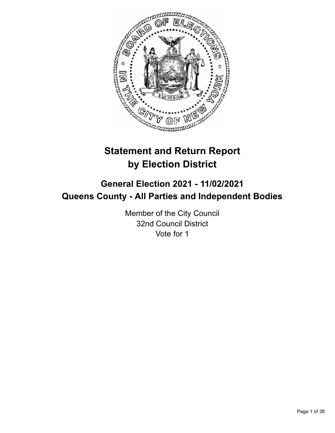

# **Statement and Return Report by Election District**

# **General Election 2021 - 11/02/2021 Queens County - All Parties and Independent Bodies**

Member of the City Council 32nd Council District Vote for 1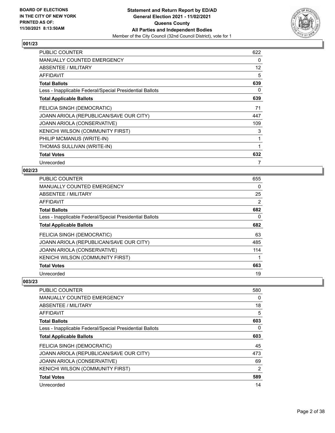

| PUBLIC COUNTER                                           | 622 |
|----------------------------------------------------------|-----|
| <b>MANUALLY COUNTED EMERGENCY</b>                        | 0   |
| <b>ABSENTEE / MILITARY</b>                               | 12  |
| AFFIDAVIT                                                | 5   |
| <b>Total Ballots</b>                                     | 639 |
| Less - Inapplicable Federal/Special Presidential Ballots | 0   |
| <b>Total Applicable Ballots</b>                          | 639 |
| FELICIA SINGH (DEMOCRATIC)                               | 71  |
| JOANN ARIOLA (REPUBLICAN/SAVE OUR CITY)                  | 447 |
| JOANN ARIOLA (CONSERVATIVE)                              | 109 |
| KENICHI WILSON (COMMUNITY FIRST)                         | 3   |
| PHILIP MCMANUS (WRITE-IN)                                | 1   |
| THOMAS SULLIVAN (WRITE-IN)                               | 1   |
| <b>Total Votes</b>                                       | 632 |
| Unrecorded                                               | 7   |

## **002/23**

| <b>PUBLIC COUNTER</b>                                    | 655            |
|----------------------------------------------------------|----------------|
| MANUALLY COUNTED EMERGENCY                               | 0              |
| ABSENTEE / MILITARY                                      | 25             |
| AFFIDAVIT                                                | $\overline{2}$ |
| <b>Total Ballots</b>                                     | 682            |
| Less - Inapplicable Federal/Special Presidential Ballots | 0              |
| <b>Total Applicable Ballots</b>                          | 682            |
| FELICIA SINGH (DEMOCRATIC)                               | 63             |
| JOANN ARIOLA (REPUBLICAN/SAVE OUR CITY)                  | 485            |
| JOANN ARIOLA (CONSERVATIVE)                              | 114            |
| KENICHI WILSON (COMMUNITY FIRST)                         |                |
| <b>Total Votes</b>                                       | 663            |
| Unrecorded                                               | 19             |

| <b>PUBLIC COUNTER</b>                                    | 580            |
|----------------------------------------------------------|----------------|
| <b>MANUALLY COUNTED EMERGENCY</b>                        | 0              |
| ABSENTEE / MILITARY                                      | 18             |
| <b>AFFIDAVIT</b>                                         | 5              |
| <b>Total Ballots</b>                                     | 603            |
| Less - Inapplicable Federal/Special Presidential Ballots | 0              |
| <b>Total Applicable Ballots</b>                          | 603            |
| FELICIA SINGH (DEMOCRATIC)                               | 45             |
| JOANN ARIOLA (REPUBLICAN/SAVE OUR CITY)                  | 473            |
| JOANN ARIOLA (CONSERVATIVE)                              | 69             |
| KENICHI WILSON (COMMUNITY FIRST)                         | $\overline{2}$ |
| <b>Total Votes</b>                                       | 589            |
| Unrecorded                                               | 14             |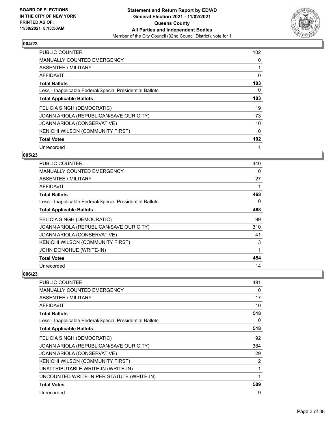![](_page_2_Picture_2.jpeg)

| <b>PUBLIC COUNTER</b>                                    | 102 |
|----------------------------------------------------------|-----|
| <b>MANUALLY COUNTED EMERGENCY</b>                        | 0   |
| ABSENTEE / MILITARY                                      |     |
| <b>AFFIDAVIT</b>                                         | 0   |
| <b>Total Ballots</b>                                     | 103 |
| Less - Inapplicable Federal/Special Presidential Ballots | 0   |
| <b>Total Applicable Ballots</b>                          | 103 |
| FELICIA SINGH (DEMOCRATIC)                               | 19  |
| JOANN ARIOLA (REPUBLICAN/SAVE OUR CITY)                  | 73  |
| JOANN ARIOLA (CONSERVATIVE)                              | 10  |
| KENICHI WILSON (COMMUNITY FIRST)                         | 0   |
| <b>Total Votes</b>                                       | 102 |
| Unrecorded                                               | 1   |

## **005/23**

| <b>PUBLIC COUNTER</b>                                    | 440 |
|----------------------------------------------------------|-----|
| MANUALLY COUNTED EMERGENCY                               | 0   |
| ABSENTEE / MILITARY                                      | 27  |
| AFFIDAVIT                                                |     |
| <b>Total Ballots</b>                                     | 468 |
| Less - Inapplicable Federal/Special Presidential Ballots | 0   |
| <b>Total Applicable Ballots</b>                          | 468 |
| FELICIA SINGH (DEMOCRATIC)                               | 99  |
| JOANN ARIOLA (REPUBLICAN/SAVE OUR CITY)                  | 310 |
| JOANN ARIOLA (CONSERVATIVE)                              | 41  |
| KENICHI WILSON (COMMUNITY FIRST)                         | 3   |
| JOHN DONOHUE (WRITE-IN)                                  | 1   |
| <b>Total Votes</b>                                       | 454 |
| Unrecorded                                               | 14  |

| <b>PUBLIC COUNTER</b>                                    | 491            |
|----------------------------------------------------------|----------------|
| <b>MANUALLY COUNTED EMERGENCY</b>                        | 0              |
| ABSENTEE / MILITARY                                      | 17             |
| AFFIDAVIT                                                | 10             |
| <b>Total Ballots</b>                                     | 518            |
| Less - Inapplicable Federal/Special Presidential Ballots | 0              |
| <b>Total Applicable Ballots</b>                          | 518            |
| FELICIA SINGH (DEMOCRATIC)                               | 92             |
| JOANN ARIOLA (REPUBLICAN/SAVE OUR CITY)                  | 384            |
| JOANN ARIOLA (CONSERVATIVE)                              | 29             |
| KENICHI WILSON (COMMUNITY FIRST)                         | $\overline{2}$ |
| UNATTRIBUTABLE WRITE-IN (WRITE-IN)                       |                |
| UNCOUNTED WRITE-IN PER STATUTE (WRITE-IN)                | 1              |
| <b>Total Votes</b>                                       | 509            |
| Unrecorded                                               | 9              |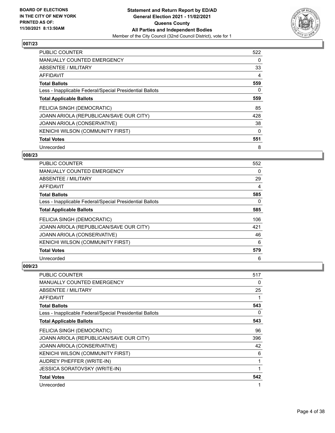![](_page_3_Picture_2.jpeg)

| PUBLIC COUNTER                                           | 522      |
|----------------------------------------------------------|----------|
| <b>MANUALLY COUNTED EMERGENCY</b>                        | 0        |
| ABSENTEE / MILITARY                                      | 33       |
| <b>AFFIDAVIT</b>                                         | 4        |
| <b>Total Ballots</b>                                     | 559      |
| Less - Inapplicable Federal/Special Presidential Ballots | $\Omega$ |
| <b>Total Applicable Ballots</b>                          | 559      |
| FELICIA SINGH (DEMOCRATIC)                               | 85       |
| JOANN ARIOLA (REPUBLICAN/SAVE OUR CITY)                  | 428      |
| <b>JOANN ARIOLA (CONSERVATIVE)</b>                       | 38       |
| KENICHI WILSON (COMMUNITY FIRST)                         | $\Omega$ |
| <b>Total Votes</b>                                       | 551      |
| Unrecorded                                               | 8        |

## **008/23**

| <b>PUBLIC COUNTER</b>                                    | 552      |
|----------------------------------------------------------|----------|
| <b>MANUALLY COUNTED EMERGENCY</b>                        | 0        |
| ABSENTEE / MILITARY                                      | 29       |
| AFFIDAVIT                                                | 4        |
| <b>Total Ballots</b>                                     | 585      |
| Less - Inapplicable Federal/Special Presidential Ballots | $\Omega$ |
| <b>Total Applicable Ballots</b>                          | 585      |
| FELICIA SINGH (DEMOCRATIC)                               | 106      |
| JOANN ARIOLA (REPUBLICAN/SAVE OUR CITY)                  | 421      |
| JOANN ARIOLA (CONSERVATIVE)                              | 46       |
| KENICHI WILSON (COMMUNITY FIRST)                         | 6        |
| <b>Total Votes</b>                                       | 579      |
| Unrecorded                                               | 6        |

| <b>PUBLIC COUNTER</b>                                    | 517 |
|----------------------------------------------------------|-----|
| <b>MANUALLY COUNTED EMERGENCY</b>                        | 0   |
| ABSENTEE / MILITARY                                      | 25  |
| AFFIDAVIT                                                | 1   |
| <b>Total Ballots</b>                                     | 543 |
| Less - Inapplicable Federal/Special Presidential Ballots | 0   |
| <b>Total Applicable Ballots</b>                          | 543 |
| FELICIA SINGH (DEMOCRATIC)                               | 96  |
| JOANN ARIOLA (REPUBLICAN/SAVE OUR CITY)                  | 396 |
| JOANN ARIOLA (CONSERVATIVE)                              | 42  |
| KENICHI WILSON (COMMUNITY FIRST)                         | 6   |
| AUDREY PHEFFER (WRITE-IN)                                | 1   |
| <b>JESSICA SORATOVSKY (WRITE-IN)</b>                     |     |
| <b>Total Votes</b>                                       | 542 |
| Unrecorded                                               |     |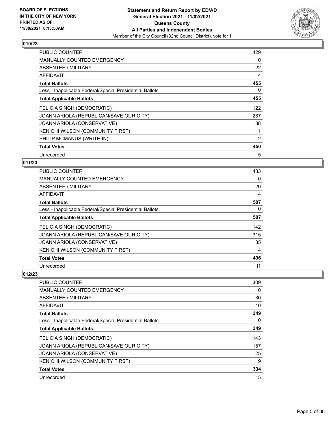![](_page_4_Picture_2.jpeg)

| PUBLIC COUNTER                                           | 429            |
|----------------------------------------------------------|----------------|
| <b>MANUALLY COUNTED EMERGENCY</b>                        | 0              |
| ABSENTEE / MILITARY                                      | 22             |
| AFFIDAVIT                                                | 4              |
| <b>Total Ballots</b>                                     | 455            |
| Less - Inapplicable Federal/Special Presidential Ballots | 0              |
| <b>Total Applicable Ballots</b>                          | 455            |
| FELICIA SINGH (DEMOCRATIC)                               | 122            |
| JOANN ARIOLA (REPUBLICAN/SAVE OUR CITY)                  | 287            |
| <b>JOANN ARIOLA (CONSERVATIVE)</b>                       | 38             |
| KENICHI WILSON (COMMUNITY FIRST)                         | 1              |
| PHILIP MCMANUS (WRITE-IN)                                | $\overline{2}$ |
| <b>Total Votes</b>                                       | 450            |
| Unrecorded                                               | 5              |

## **011/23**

| PUBLIC COUNTER                                           | 483 |
|----------------------------------------------------------|-----|
| MANUALLY COUNTED EMERGENCY                               | 0   |
| ABSENTEE / MILITARY                                      | 20  |
| AFFIDAVIT                                                | 4   |
| <b>Total Ballots</b>                                     | 507 |
| Less - Inapplicable Federal/Special Presidential Ballots | 0   |
| <b>Total Applicable Ballots</b>                          | 507 |
| FELICIA SINGH (DEMOCRATIC)                               | 142 |
| JOANN ARIOLA (REPUBLICAN/SAVE OUR CITY)                  | 315 |
| JOANN ARIOLA (CONSERVATIVE)                              | 35  |
| KENICHI WILSON (COMMUNITY FIRST)                         | 4   |
| <b>Total Votes</b>                                       | 496 |
| Unrecorded                                               | 11  |

| <b>PUBLIC COUNTER</b>                                    | 309 |
|----------------------------------------------------------|-----|
| <b>MANUALLY COUNTED EMERGENCY</b>                        | 0   |
| ABSENTEE / MILITARY                                      | 30  |
| AFFIDAVIT                                                | 10  |
| <b>Total Ballots</b>                                     | 349 |
| Less - Inapplicable Federal/Special Presidential Ballots | 0   |
| <b>Total Applicable Ballots</b>                          | 349 |
| FELICIA SINGH (DEMOCRATIC)                               | 143 |
| JOANN ARIOLA (REPUBLICAN/SAVE OUR CITY)                  | 157 |
| <b>JOANN ARIOLA (CONSERVATIVE)</b>                       | 25  |
| KENICHI WILSON (COMMUNITY FIRST)                         | 9   |
| <b>Total Votes</b>                                       | 334 |
| Unrecorded                                               | 15  |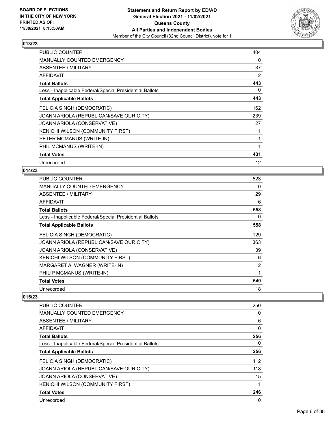![](_page_5_Picture_2.jpeg)

| PUBLIC COUNTER                                           | 404 |
|----------------------------------------------------------|-----|
| <b>MANUALLY COUNTED EMERGENCY</b>                        | 0   |
| ABSENTEE / MILITARY                                      | 37  |
| AFFIDAVIT                                                | 2   |
| <b>Total Ballots</b>                                     | 443 |
| Less - Inapplicable Federal/Special Presidential Ballots | 0   |
| <b>Total Applicable Ballots</b>                          | 443 |
| FELICIA SINGH (DEMOCRATIC)                               | 162 |
| JOANN ARIOLA (REPUBLICAN/SAVE OUR CITY)                  | 239 |
| JOANN ARIOLA (CONSERVATIVE)                              | 27  |
| KENICHI WILSON (COMMUNITY FIRST)                         | 1   |
| PETER MCMANUS (WRITE-IN)                                 | 1   |
| PHIL MCMANUS (WRITE-IN)                                  | 1   |
| <b>Total Votes</b>                                       | 431 |
| Unrecorded                                               | 12  |

# **014/23**

| PUBLIC COUNTER                                           | 523            |
|----------------------------------------------------------|----------------|
| <b>MANUALLY COUNTED EMERGENCY</b>                        | 0              |
| ABSENTEE / MILITARY                                      | 29             |
| <b>AFFIDAVIT</b>                                         | 6              |
| <b>Total Ballots</b>                                     | 558            |
| Less - Inapplicable Federal/Special Presidential Ballots | 0              |
| <b>Total Applicable Ballots</b>                          | 558            |
| FELICIA SINGH (DEMOCRATIC)                               | 129            |
| JOANN ARIOLA (REPUBLICAN/SAVE OUR CITY)                  | 363            |
| JOANN ARIOLA (CONSERVATIVE)                              | 39             |
| KENICHI WILSON (COMMUNITY FIRST)                         | 6              |
| MARGARET A. WAGNER (WRITE-IN)                            | $\overline{2}$ |
| PHILIP MCMANUS (WRITE-IN)                                | 1              |
| <b>Total Votes</b>                                       | 540            |
| Unrecorded                                               | 18             |

| <b>PUBLIC COUNTER</b>                                    | 250 |
|----------------------------------------------------------|-----|
| <b>MANUALLY COUNTED EMERGENCY</b>                        | 0   |
| ABSENTEE / MILITARY                                      | 6   |
| AFFIDAVIT                                                | 0   |
| <b>Total Ballots</b>                                     | 256 |
| Less - Inapplicable Federal/Special Presidential Ballots | 0   |
| <b>Total Applicable Ballots</b>                          | 256 |
| FELICIA SINGH (DEMOCRATIC)                               | 112 |
| JOANN ARIOLA (REPUBLICAN/SAVE OUR CITY)                  | 118 |
| JOANN ARIOLA (CONSERVATIVE)                              | 15  |
| KENICHI WILSON (COMMUNITY FIRST)                         | 1   |
| <b>Total Votes</b>                                       | 246 |
| Unrecorded                                               | 10  |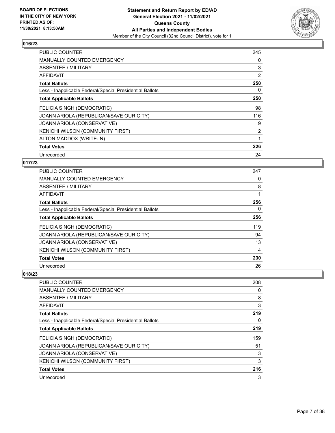![](_page_6_Picture_2.jpeg)

| <b>PUBLIC COUNTER</b>                                    | 245            |
|----------------------------------------------------------|----------------|
| <b>MANUALLY COUNTED EMERGENCY</b>                        | 0              |
| ABSENTEE / MILITARY                                      | 3              |
| <b>AFFIDAVIT</b>                                         | 2              |
| <b>Total Ballots</b>                                     | 250            |
| Less - Inapplicable Federal/Special Presidential Ballots | 0              |
| <b>Total Applicable Ballots</b>                          | 250            |
| FELICIA SINGH (DEMOCRATIC)                               | 98             |
| JOANN ARIOLA (REPUBLICAN/SAVE OUR CITY)                  | 116            |
| JOANN ARIOLA (CONSERVATIVE)                              | 9              |
| <b>KENICHI WILSON (COMMUNITY FIRST)</b>                  | $\overline{2}$ |
| ALTON MADDOX (WRITE-IN)                                  |                |
| <b>Total Votes</b>                                       | 226            |
| Unrecorded                                               | 24             |

## **017/23**

| <b>PUBLIC COUNTER</b>                                    | 247 |
|----------------------------------------------------------|-----|
| MANUALLY COUNTED EMERGENCY                               | 0   |
| ABSENTEE / MILITARY                                      | 8   |
| AFFIDAVIT                                                | 1   |
| <b>Total Ballots</b>                                     | 256 |
| Less - Inapplicable Federal/Special Presidential Ballots | 0   |
| <b>Total Applicable Ballots</b>                          | 256 |
| FELICIA SINGH (DEMOCRATIC)                               | 119 |
| JOANN ARIOLA (REPUBLICAN/SAVE OUR CITY)                  | 94  |
| JOANN ARIOLA (CONSERVATIVE)                              | 13  |
| KENICHI WILSON (COMMUNITY FIRST)                         | 4   |
| <b>Total Votes</b>                                       | 230 |
| Unrecorded                                               | 26  |

| <b>PUBLIC COUNTER</b>                                    | 208 |
|----------------------------------------------------------|-----|
| MANUALLY COUNTED EMERGENCY                               | 0   |
| ABSENTEE / MILITARY                                      | 8   |
| AFFIDAVIT                                                | 3   |
| <b>Total Ballots</b>                                     | 219 |
| Less - Inapplicable Federal/Special Presidential Ballots | 0   |
| <b>Total Applicable Ballots</b>                          | 219 |
| FELICIA SINGH (DEMOCRATIC)                               | 159 |
| JOANN ARIOLA (REPUBLICAN/SAVE OUR CITY)                  | 51  |
| <b>JOANN ARIOLA (CONSERVATIVE)</b>                       | 3   |
| KENICHI WILSON (COMMUNITY FIRST)                         | 3   |
| <b>Total Votes</b>                                       | 216 |
| Unrecorded                                               | 3   |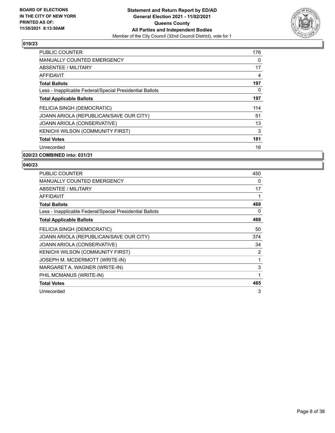![](_page_7_Picture_2.jpeg)

| 176 |
|-----|
| 0   |
| 17  |
| 4   |
| 197 |
| 0   |
| 197 |
| 114 |
| 51  |
| 13  |
| 3   |
| 181 |
| 16  |
|     |

# **020/23 COMBINED into: 031/31**

| PUBLIC COUNTER                                           | 450 |
|----------------------------------------------------------|-----|
| <b>MANUALLY COUNTED EMERGENCY</b>                        | 0   |
| <b>ABSENTEE / MILITARY</b>                               | 17  |
| <b>AFFIDAVIT</b>                                         | 1   |
| <b>Total Ballots</b>                                     | 468 |
| Less - Inapplicable Federal/Special Presidential Ballots | 0   |
| <b>Total Applicable Ballots</b>                          | 468 |
| FELICIA SINGH (DEMOCRATIC)                               | 50  |
| JOANN ARIOLA (REPUBLICAN/SAVE OUR CITY)                  | 374 |
| JOANN ARIOLA (CONSERVATIVE)                              | 34  |
| <b>KENICHI WILSON (COMMUNITY FIRST)</b>                  | 2   |
| JOSEPH M. MCDERMOTT (WRITE-IN)                           | 1   |
| MARGARET A. WAGNER (WRITE-IN)                            | 3   |
| PHIL MCMANUS (WRITE-IN)                                  | 1   |
| <b>Total Votes</b>                                       | 465 |
| Unrecorded                                               | 3   |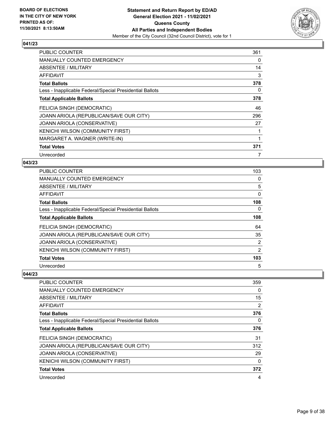![](_page_8_Picture_2.jpeg)

| <b>PUBLIC COUNTER</b>                                    | 361 |
|----------------------------------------------------------|-----|
| <b>MANUALLY COUNTED EMERGENCY</b>                        | 0   |
| ABSENTEE / MILITARY                                      | 14  |
| <b>AFFIDAVIT</b>                                         | 3   |
| <b>Total Ballots</b>                                     | 378 |
| Less - Inapplicable Federal/Special Presidential Ballots | 0   |
| <b>Total Applicable Ballots</b>                          | 378 |
| FELICIA SINGH (DEMOCRATIC)                               | 46  |
| JOANN ARIOLA (REPUBLICAN/SAVE OUR CITY)                  | 296 |
| JOANN ARIOLA (CONSERVATIVE)                              | 27  |
| <b>KENICHI WILSON (COMMUNITY FIRST)</b>                  |     |
| MARGARET A. WAGNER (WRITE-IN)                            |     |
| <b>Total Votes</b>                                       | 371 |
| Unrecorded                                               | 7   |

#### **043/23**

| PUBLIC COUNTER                                           | 103 |
|----------------------------------------------------------|-----|
| MANUALLY COUNTED EMERGENCY                               | 0   |
| ABSENTEE / MILITARY                                      | 5   |
| AFFIDAVIT                                                | 0   |
| <b>Total Ballots</b>                                     | 108 |
| Less - Inapplicable Federal/Special Presidential Ballots | 0   |
| <b>Total Applicable Ballots</b>                          | 108 |
| FELICIA SINGH (DEMOCRATIC)                               | 64  |
| JOANN ARIOLA (REPUBLICAN/SAVE OUR CITY)                  | 35  |
| <b>JOANN ARIOLA (CONSERVATIVE)</b>                       | 2   |
| KENICHI WILSON (COMMUNITY FIRST)                         | 2   |
| <b>Total Votes</b>                                       | 103 |
| Unrecorded                                               | 5   |

| <b>PUBLIC COUNTER</b>                                    | 359 |
|----------------------------------------------------------|-----|
| <b>MANUALLY COUNTED EMERGENCY</b>                        | 0   |
| ABSENTEE / MILITARY                                      | 15  |
| AFFIDAVIT                                                | 2   |
| <b>Total Ballots</b>                                     | 376 |
| Less - Inapplicable Federal/Special Presidential Ballots | 0   |
| <b>Total Applicable Ballots</b>                          | 376 |
| FELICIA SINGH (DEMOCRATIC)                               | 31  |
| JOANN ARIOLA (REPUBLICAN/SAVE OUR CITY)                  | 312 |
| <b>JOANN ARIOLA (CONSERVATIVE)</b>                       | 29  |
| <b>KENICHI WILSON (COMMUNITY FIRST)</b>                  | 0   |
| <b>Total Votes</b>                                       | 372 |
| Unrecorded                                               | 4   |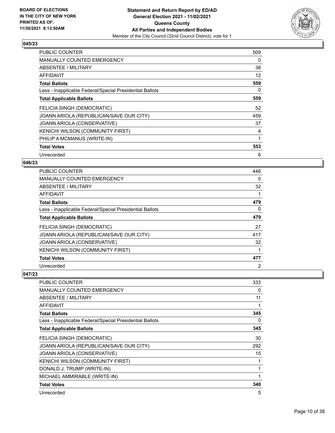![](_page_9_Picture_2.jpeg)

| PUBLIC COUNTER                                           | 509 |
|----------------------------------------------------------|-----|
| <b>MANUALLY COUNTED EMERGENCY</b>                        | 0   |
| ABSENTEE / MILITARY                                      | 38  |
| <b>AFFIDAVIT</b>                                         | 12  |
| <b>Total Ballots</b>                                     | 559 |
| Less - Inapplicable Federal/Special Presidential Ballots | 0   |
| <b>Total Applicable Ballots</b>                          | 559 |
| FELICIA SINGH (DEMOCRATIC)                               | 52  |
|                                                          |     |
| JOANN ARIOLA (REPUBLICAN/SAVE OUR CITY)                  | 459 |
| JOANN ARIOLA (CONSERVATIVE)                              | 37  |
| <b>KENICHI WILSON (COMMUNITY FIRST)</b>                  | 4   |
| PHILIP A MCMANUS (WRITE-IN)                              |     |
| <b>Total Votes</b>                                       | 553 |

#### **046/23**

| PUBLIC COUNTER                                           | 446      |
|----------------------------------------------------------|----------|
| MANUALLY COUNTED EMERGENCY                               | $\Omega$ |
| ABSENTEE / MILITARY                                      | 32       |
| AFFIDAVIT                                                |          |
| <b>Total Ballots</b>                                     | 479      |
| Less - Inapplicable Federal/Special Presidential Ballots | 0        |
| <b>Total Applicable Ballots</b>                          | 479      |
| FELICIA SINGH (DEMOCRATIC)                               | 27       |
| JOANN ARIOLA (REPUBLICAN/SAVE OUR CITY)                  | 417      |
| JOANN ARIOLA (CONSERVATIVE)                              | 32       |
| KENICHI WILSON (COMMUNITY FIRST)                         |          |
| <b>Total Votes</b>                                       | 477      |
| Unrecorded                                               | 2        |

| <b>PUBLIC COUNTER</b>                                    | 333 |
|----------------------------------------------------------|-----|
| <b>MANUALLY COUNTED EMERGENCY</b>                        | 0   |
| ABSENTEE / MILITARY                                      | 11  |
| AFFIDAVIT                                                |     |
| <b>Total Ballots</b>                                     | 345 |
| Less - Inapplicable Federal/Special Presidential Ballots | 0   |
| <b>Total Applicable Ballots</b>                          | 345 |
| FELICIA SINGH (DEMOCRATIC)                               | 30  |
| JOANN ARIOLA (REPUBLICAN/SAVE OUR CITY)                  | 292 |
| JOANN ARIOLA (CONSERVATIVE)                              | 15  |
| KENICHI WILSON (COMMUNITY FIRST)                         |     |
| DONALD J. TRUMP (WRITE-IN)                               |     |
| MICHAEL AMMIRABLE (WRITE-IN)                             |     |
| <b>Total Votes</b>                                       | 340 |
| Unrecorded                                               | 5   |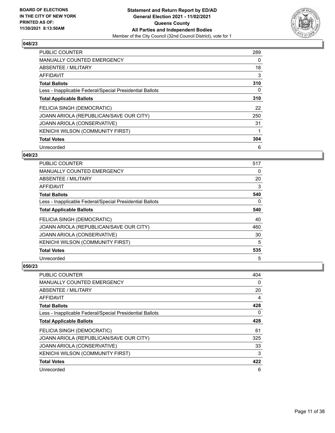![](_page_10_Picture_2.jpeg)

| PUBLIC COUNTER                                           | 289 |
|----------------------------------------------------------|-----|
| <b>MANUALLY COUNTED EMERGENCY</b>                        | 0   |
| ABSENTEE / MILITARY                                      | 18  |
| <b>AFFIDAVIT</b>                                         | 3   |
| <b>Total Ballots</b>                                     | 310 |
| Less - Inapplicable Federal/Special Presidential Ballots | 0   |
| <b>Total Applicable Ballots</b>                          | 310 |
| FELICIA SINGH (DEMOCRATIC)                               | 22  |
| JOANN ARIOLA (REPUBLICAN/SAVE OUR CITY)                  | 250 |
| JOANN ARIOLA (CONSERVATIVE)                              | 31  |
| <b>KENICHI WILSON (COMMUNITY FIRST)</b>                  |     |
| <b>Total Votes</b>                                       | 304 |
| Unrecorded                                               | 6   |

## **049/23**

| <b>PUBLIC COUNTER</b>                                    | 517 |
|----------------------------------------------------------|-----|
| <b>MANUALLY COUNTED EMERGENCY</b>                        | 0   |
| ABSENTEE / MILITARY                                      | 20  |
| AFFIDAVIT                                                | 3   |
| <b>Total Ballots</b>                                     | 540 |
| Less - Inapplicable Federal/Special Presidential Ballots | 0   |
| <b>Total Applicable Ballots</b>                          | 540 |
| FELICIA SINGH (DEMOCRATIC)                               | 40  |
| JOANN ARIOLA (REPUBLICAN/SAVE OUR CITY)                  | 460 |
| JOANN ARIOLA (CONSERVATIVE)                              | 30  |
| KENICHI WILSON (COMMUNITY FIRST)                         | 5   |
| <b>Total Votes</b>                                       | 535 |
| Unrecorded                                               | 5   |

| <b>PUBLIC COUNTER</b>                                    | 404 |
|----------------------------------------------------------|-----|
| MANUALLY COUNTED EMERGENCY                               | 0   |
| ABSENTEE / MILITARY                                      | 20  |
| AFFIDAVIT                                                | 4   |
| <b>Total Ballots</b>                                     | 428 |
| Less - Inapplicable Federal/Special Presidential Ballots | 0   |
| <b>Total Applicable Ballots</b>                          | 428 |
| FELICIA SINGH (DEMOCRATIC)                               | 61  |
| JOANN ARIOLA (REPUBLICAN/SAVE OUR CITY)                  | 325 |
| JOANN ARIOLA (CONSERVATIVE)                              | 33  |
| KENICHI WILSON (COMMUNITY FIRST)                         | 3   |
| <b>Total Votes</b>                                       | 422 |
| Unrecorded                                               | 6   |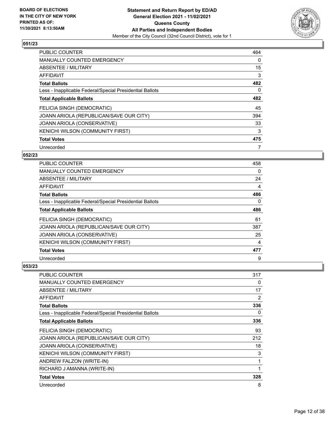![](_page_11_Picture_2.jpeg)

| PUBLIC COUNTER                                           | 464      |
|----------------------------------------------------------|----------|
| <b>MANUALLY COUNTED EMERGENCY</b>                        | $\Omega$ |
| ABSENTEE / MILITARY                                      | 15       |
| <b>AFFIDAVIT</b>                                         | 3        |
| <b>Total Ballots</b>                                     | 482      |
| Less - Inapplicable Federal/Special Presidential Ballots | $\Omega$ |
| <b>Total Applicable Ballots</b>                          | 482      |
| FELICIA SINGH (DEMOCRATIC)                               | 45       |
| JOANN ARIOLA (REPUBLICAN/SAVE OUR CITY)                  | 394      |
| <b>JOANN ARIOLA (CONSERVATIVE)</b>                       | 33       |
| KENICHI WILSON (COMMUNITY FIRST)                         | 3        |
| <b>Total Votes</b>                                       | 475      |
| Unrecorded                                               |          |

## **052/23**

| <b>PUBLIC COUNTER</b>                                    | 458 |
|----------------------------------------------------------|-----|
| MANUALLY COUNTED EMERGENCY                               | 0   |
| ABSENTEE / MILITARY                                      | 24  |
| AFFIDAVIT                                                | 4   |
| <b>Total Ballots</b>                                     | 486 |
| Less - Inapplicable Federal/Special Presidential Ballots | 0   |
| <b>Total Applicable Ballots</b>                          | 486 |
| FELICIA SINGH (DEMOCRATIC)                               | 61  |
| JOANN ARIOLA (REPUBLICAN/SAVE OUR CITY)                  | 387 |
| JOANN ARIOLA (CONSERVATIVE)                              | 25  |
| KENICHI WILSON (COMMUNITY FIRST)                         | 4   |
| <b>Total Votes</b>                                       | 477 |
| Unrecorded                                               | 9   |

| <b>PUBLIC COUNTER</b>                                    | 317 |
|----------------------------------------------------------|-----|
| <b>MANUALLY COUNTED EMERGENCY</b>                        | 0   |
| ABSENTEE / MILITARY                                      | 17  |
| AFFIDAVIT                                                | 2   |
| <b>Total Ballots</b>                                     | 336 |
| Less - Inapplicable Federal/Special Presidential Ballots | 0   |
| <b>Total Applicable Ballots</b>                          | 336 |
| FELICIA SINGH (DEMOCRATIC)                               | 93  |
| JOANN ARIOLA (REPUBLICAN/SAVE OUR CITY)                  | 212 |
| JOANN ARIOLA (CONSERVATIVE)                              | 18  |
| KENICHI WILSON (COMMUNITY FIRST)                         | 3   |
| ANDREW FALZON (WRITE-IN)                                 | 1   |
| RICHARD J AMANNA (WRITE-IN)                              | 1   |
| <b>Total Votes</b>                                       | 328 |
| Unrecorded                                               | 8   |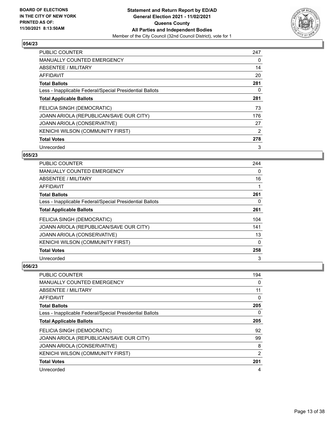![](_page_12_Picture_2.jpeg)

| PUBLIC COUNTER                                           | 247            |
|----------------------------------------------------------|----------------|
| <b>MANUALLY COUNTED EMERGENCY</b>                        | 0              |
| ABSENTEE / MILITARY                                      | 14             |
| <b>AFFIDAVIT</b>                                         | 20             |
| <b>Total Ballots</b>                                     | 281            |
| Less - Inapplicable Federal/Special Presidential Ballots | 0              |
| <b>Total Applicable Ballots</b>                          | 281            |
| FELICIA SINGH (DEMOCRATIC)                               | 73             |
| JOANN ARIOLA (REPUBLICAN/SAVE OUR CITY)                  | 176            |
| JOANN ARIOLA (CONSERVATIVE)                              | 27             |
| KENICHI WILSON (COMMUNITY FIRST)                         | $\overline{2}$ |
| <b>Total Votes</b>                                       | 278            |
| Unrecorded                                               | 3              |

## **055/23**

| <b>PUBLIC COUNTER</b>                                    | 244      |
|----------------------------------------------------------|----------|
| <b>MANUALLY COUNTED EMERGENCY</b>                        | $\Omega$ |
| ABSENTEE / MILITARY                                      | 16       |
| AFFIDAVIT                                                |          |
| <b>Total Ballots</b>                                     | 261      |
| Less - Inapplicable Federal/Special Presidential Ballots | 0        |
| <b>Total Applicable Ballots</b>                          | 261      |
| FELICIA SINGH (DEMOCRATIC)                               | 104      |
| JOANN ARIOLA (REPUBLICAN/SAVE OUR CITY)                  | 141      |
| JOANN ARIOLA (CONSERVATIVE)                              | 13       |
| KENICHI WILSON (COMMUNITY FIRST)                         | 0        |
| <b>Total Votes</b>                                       | 258      |
| Unrecorded                                               | 3        |

| PUBLIC COUNTER                                           | 194      |
|----------------------------------------------------------|----------|
| MANUALLY COUNTED EMERGENCY                               | $\Omega$ |
| ABSENTEE / MILITARY                                      | 11       |
| AFFIDAVIT                                                | 0        |
| <b>Total Ballots</b>                                     | 205      |
| Less - Inapplicable Federal/Special Presidential Ballots | 0        |
| <b>Total Applicable Ballots</b>                          | 205      |
| FELICIA SINGH (DEMOCRATIC)                               | 92       |
| JOANN ARIOLA (REPUBLICAN/SAVE OUR CITY)                  | 99       |
| JOANN ARIOLA (CONSERVATIVE)                              | 8        |
| KENICHI WILSON (COMMUNITY FIRST)                         | 2        |
| <b>Total Votes</b>                                       | 201      |
| Unrecorded                                               | 4        |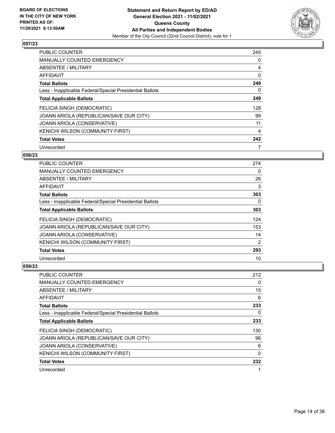![](_page_13_Picture_2.jpeg)

| PUBLIC COUNTER                                           | 245      |
|----------------------------------------------------------|----------|
| <b>MANUALLY COUNTED EMERGENCY</b>                        | 0        |
| ABSENTEE / MILITARY                                      | 4        |
| AFFIDAVIT                                                | 0        |
| <b>Total Ballots</b>                                     | 249      |
| Less - Inapplicable Federal/Special Presidential Ballots | $\Omega$ |
| <b>Total Applicable Ballots</b>                          | 249      |
| FELICIA SINGH (DEMOCRATIC)                               | 128      |
| JOANN ARIOLA (REPUBLICAN/SAVE OUR CITY)                  | 99       |
| JOANN ARIOLA (CONSERVATIVE)                              | 11       |
| KENICHI WILSON (COMMUNITY FIRST)                         | 4        |
| <b>Total Votes</b>                                       | 242      |
| Unrecorded                                               |          |

## **058/23**

| PUBLIC COUNTER                                           | 274            |
|----------------------------------------------------------|----------------|
| <b>MANUALLY COUNTED EMERGENCY</b>                        | 0              |
| ABSENTEE / MILITARY                                      | 26             |
| AFFIDAVIT                                                | 3              |
| <b>Total Ballots</b>                                     | 303            |
| Less - Inapplicable Federal/Special Presidential Ballots | 0              |
| <b>Total Applicable Ballots</b>                          | 303            |
| FELICIA SINGH (DEMOCRATIC)                               | 124            |
| JOANN ARIOLA (REPUBLICAN/SAVE OUR CITY)                  | 153            |
| JOANN ARIOLA (CONSERVATIVE)                              | 14             |
| KENICHI WILSON (COMMUNITY FIRST)                         | $\overline{2}$ |
| <b>Total Votes</b>                                       | 293            |
| Unrecorded                                               | 10             |

| PUBLIC COUNTER                                           | 212      |
|----------------------------------------------------------|----------|
| MANUALLY COUNTED EMERGENCY                               | 0        |
| ABSENTEE / MILITARY                                      | 15       |
| AFFIDAVIT                                                | 6        |
| <b>Total Ballots</b>                                     | 233      |
| Less - Inapplicable Federal/Special Presidential Ballots | 0        |
| <b>Total Applicable Ballots</b>                          | 233      |
| FELICIA SINGH (DEMOCRATIC)                               | 130      |
| JOANN ARIOLA (REPUBLICAN/SAVE OUR CITY)                  | 96       |
| JOANN ARIOLA (CONSERVATIVE)                              | 6        |
| KENICHI WILSON (COMMUNITY FIRST)                         | $\Omega$ |
| <b>Total Votes</b>                                       | 232      |
| Unrecorded                                               |          |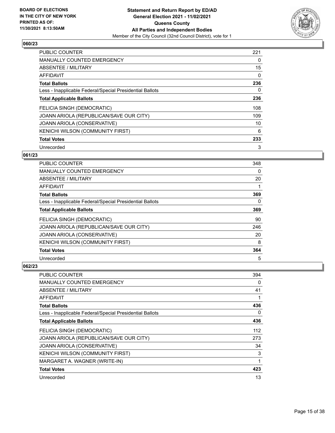![](_page_14_Picture_2.jpeg)

| PUBLIC COUNTER                                           | 221      |
|----------------------------------------------------------|----------|
| <b>MANUALLY COUNTED EMERGENCY</b>                        | 0        |
| ABSENTEE / MILITARY                                      | 15       |
| <b>AFFIDAVIT</b>                                         | 0        |
| <b>Total Ballots</b>                                     | 236      |
| Less - Inapplicable Federal/Special Presidential Ballots | $\Omega$ |
| <b>Total Applicable Ballots</b>                          | 236      |
| FELICIA SINGH (DEMOCRATIC)                               | 108      |
| JOANN ARIOLA (REPUBLICAN/SAVE OUR CITY)                  | 109      |
| <b>JOANN ARIOLA (CONSERVATIVE)</b>                       | 10       |
| KENICHI WILSON (COMMUNITY FIRST)                         | 6        |
| <b>Total Votes</b>                                       | 233      |
| Unrecorded                                               | 3        |

## **061/23**

| <b>PUBLIC COUNTER</b>                                    | 348 |
|----------------------------------------------------------|-----|
| <b>MANUALLY COUNTED EMERGENCY</b>                        | 0   |
| ABSENTEE / MILITARY                                      | 20  |
| AFFIDAVIT                                                |     |
| <b>Total Ballots</b>                                     | 369 |
| Less - Inapplicable Federal/Special Presidential Ballots | 0   |
| <b>Total Applicable Ballots</b>                          | 369 |
| FELICIA SINGH (DEMOCRATIC)                               | 90  |
| JOANN ARIOLA (REPUBLICAN/SAVE OUR CITY)                  | 246 |
| JOANN ARIOLA (CONSERVATIVE)                              | 20  |
| KENICHI WILSON (COMMUNITY FIRST)                         | 8   |
| <b>Total Votes</b>                                       | 364 |
| Unrecorded                                               | 5   |

| PUBLIC COUNTER                                           | 394 |
|----------------------------------------------------------|-----|
| <b>MANUALLY COUNTED EMERGENCY</b>                        | 0   |
| ABSENTEE / MILITARY                                      | 41  |
| AFFIDAVIT                                                |     |
| <b>Total Ballots</b>                                     | 436 |
| Less - Inapplicable Federal/Special Presidential Ballots | 0   |
| <b>Total Applicable Ballots</b>                          | 436 |
| FELICIA SINGH (DEMOCRATIC)                               | 112 |
| JOANN ARIOLA (REPUBLICAN/SAVE OUR CITY)                  | 273 |
| JOANN ARIOLA (CONSERVATIVE)                              | 34  |
| KENICHI WILSON (COMMUNITY FIRST)                         | 3   |
| MARGARET A. WAGNER (WRITE-IN)                            | 1   |
| <b>Total Votes</b>                                       | 423 |
| Unrecorded                                               | 13  |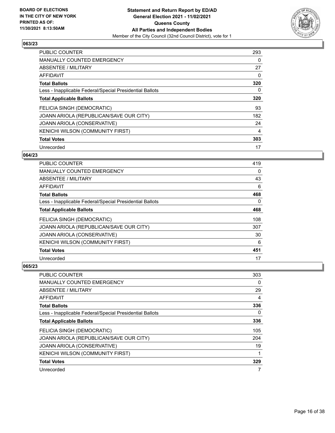![](_page_15_Picture_2.jpeg)

| PUBLIC COUNTER                                           | 293      |
|----------------------------------------------------------|----------|
| <b>MANUALLY COUNTED EMERGENCY</b>                        | 0        |
| ABSENTEE / MILITARY                                      | 27       |
| <b>AFFIDAVIT</b>                                         | 0        |
| <b>Total Ballots</b>                                     | 320      |
| Less - Inapplicable Federal/Special Presidential Ballots | $\Omega$ |
| <b>Total Applicable Ballots</b>                          | 320      |
| FELICIA SINGH (DEMOCRATIC)                               | 93       |
| JOANN ARIOLA (REPUBLICAN/SAVE OUR CITY)                  | 182      |
| <b>JOANN ARIOLA (CONSERVATIVE)</b>                       | 24       |
| KENICHI WILSON (COMMUNITY FIRST)                         | 4        |
| <b>Total Votes</b>                                       | 303      |
| Unrecorded                                               | 17       |

## **064/23**

| <b>PUBLIC COUNTER</b>                                    | 419 |
|----------------------------------------------------------|-----|
| MANUALLY COUNTED EMERGENCY                               | 0   |
| ABSENTEE / MILITARY                                      | 43  |
| AFFIDAVIT                                                | 6   |
| <b>Total Ballots</b>                                     | 468 |
| Less - Inapplicable Federal/Special Presidential Ballots | 0   |
| <b>Total Applicable Ballots</b>                          | 468 |
| FELICIA SINGH (DEMOCRATIC)                               | 108 |
| JOANN ARIOLA (REPUBLICAN/SAVE OUR CITY)                  | 307 |
| JOANN ARIOLA (CONSERVATIVE)                              | 30  |
| KENICHI WILSON (COMMUNITY FIRST)                         | 6   |
| <b>Total Votes</b>                                       | 451 |
| Unrecorded                                               | 17  |

| PUBLIC COUNTER                                           | 303 |
|----------------------------------------------------------|-----|
| <b>MANUALLY COUNTED EMERGENCY</b>                        | 0   |
| ABSENTEE / MILITARY                                      | 29  |
| AFFIDAVIT                                                | 4   |
| <b>Total Ballots</b>                                     | 336 |
| Less - Inapplicable Federal/Special Presidential Ballots | 0   |
| <b>Total Applicable Ballots</b>                          | 336 |
| FELICIA SINGH (DEMOCRATIC)                               | 105 |
| JOANN ARIOLA (REPUBLICAN/SAVE OUR CITY)                  | 204 |
| JOANN ARIOLA (CONSERVATIVE)                              | 19  |
| KENICHI WILSON (COMMUNITY FIRST)                         | 1   |
| <b>Total Votes</b>                                       | 329 |
| Unrecorded                                               | 7   |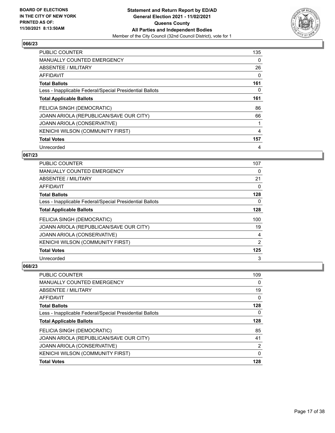![](_page_16_Picture_2.jpeg)

| PUBLIC COUNTER                                           | 135 |
|----------------------------------------------------------|-----|
| <b>MANUALLY COUNTED EMERGENCY</b>                        | 0   |
| ABSENTEE / MILITARY                                      | 26  |
| <b>AFFIDAVIT</b>                                         | 0   |
| <b>Total Ballots</b>                                     | 161 |
| Less - Inapplicable Federal/Special Presidential Ballots | 0   |
| <b>Total Applicable Ballots</b>                          | 161 |
| FELICIA SINGH (DEMOCRATIC)                               | 86  |
| JOANN ARIOLA (REPUBLICAN/SAVE OUR CITY)                  | 66  |
| JOANN ARIOLA (CONSERVATIVE)                              |     |
| KENICHI WILSON (COMMUNITY FIRST)                         | 4   |
| <b>Total Votes</b>                                       | 157 |
| Unrecorded                                               | 4   |

## **067/23**

| <b>PUBLIC COUNTER</b>                                    | 107            |
|----------------------------------------------------------|----------------|
| MANUALLY COUNTED EMERGENCY                               | $\Omega$       |
| ABSENTEE / MILITARY                                      | 21             |
| AFFIDAVIT                                                | 0              |
| <b>Total Ballots</b>                                     | 128            |
| Less - Inapplicable Federal/Special Presidential Ballots | 0              |
| <b>Total Applicable Ballots</b>                          | 128            |
| FELICIA SINGH (DEMOCRATIC)                               | 100            |
| JOANN ARIOLA (REPUBLICAN/SAVE OUR CITY)                  | 19             |
| JOANN ARIOLA (CONSERVATIVE)                              | 4              |
| KENICHI WILSON (COMMUNITY FIRST)                         | $\overline{2}$ |
| <b>Total Votes</b>                                       | 125            |
| Unrecorded                                               | 3              |

| <b>PUBLIC COUNTER</b>                                    | 109      |
|----------------------------------------------------------|----------|
| <b>MANUALLY COUNTED EMERGENCY</b>                        | 0        |
| ABSENTEE / MILITARY                                      | 19       |
| AFFIDAVIT                                                | $\Omega$ |
| <b>Total Ballots</b>                                     | 128      |
| Less - Inapplicable Federal/Special Presidential Ballots | 0        |
| <b>Total Applicable Ballots</b>                          | 128      |
| FELICIA SINGH (DEMOCRATIC)                               | 85       |
| JOANN ARIOLA (REPUBLICAN/SAVE OUR CITY)                  | 41       |
| JOANN ARIOLA (CONSERVATIVE)                              | 2        |
| KENICHI WILSON (COMMUNITY FIRST)                         | $\Omega$ |
| <b>Total Votes</b>                                       | 128      |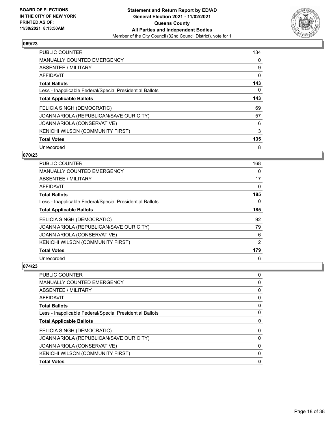![](_page_17_Picture_2.jpeg)

| <b>PUBLIC COUNTER</b>                                    | 134      |
|----------------------------------------------------------|----------|
| MANUALLY COUNTED EMERGENCY                               | 0        |
| ABSENTEE / MILITARY                                      | 9        |
| <b>AFFIDAVIT</b>                                         | 0        |
| <b>Total Ballots</b>                                     | 143      |
| Less - Inapplicable Federal/Special Presidential Ballots | $\Omega$ |
| <b>Total Applicable Ballots</b>                          | 143      |
| FELICIA SINGH (DEMOCRATIC)                               | 69       |
| JOANN ARIOLA (REPUBLICAN/SAVE OUR CITY)                  | 57       |
| JOANN ARIOLA (CONSERVATIVE)                              | 6        |
| KENICHI WILSON (COMMUNITY FIRST)                         | 3        |
| <b>Total Votes</b>                                       | 135      |
| Unrecorded                                               | 8        |

## **070/23**

| <b>PUBLIC COUNTER</b>                                    | 168      |
|----------------------------------------------------------|----------|
| <b>MANUALLY COUNTED EMERGENCY</b>                        | 0        |
| ABSENTEE / MILITARY                                      | 17       |
| AFFIDAVIT                                                | $\Omega$ |
| <b>Total Ballots</b>                                     | 185      |
| Less - Inapplicable Federal/Special Presidential Ballots | 0        |
| <b>Total Applicable Ballots</b>                          | 185      |
| FELICIA SINGH (DEMOCRATIC)                               | 92       |
| JOANN ARIOLA (REPUBLICAN/SAVE OUR CITY)                  | 79       |
| JOANN ARIOLA (CONSERVATIVE)                              | 6        |
| KENICHI WILSON (COMMUNITY FIRST)                         | 2        |
| <b>Total Votes</b>                                       | 179      |
| Unrecorded                                               | 6        |

| <b>PUBLIC COUNTER</b>                                    | 0 |
|----------------------------------------------------------|---|
| <b>MANUALLY COUNTED EMERGENCY</b>                        | 0 |
| ABSENTEE / MILITARY                                      | 0 |
| AFFIDAVIT                                                | 0 |
| <b>Total Ballots</b>                                     | 0 |
| Less - Inapplicable Federal/Special Presidential Ballots | 0 |
| <b>Total Applicable Ballots</b>                          | 0 |
| FELICIA SINGH (DEMOCRATIC)                               | 0 |
| JOANN ARIOLA (REPUBLICAN/SAVE OUR CITY)                  | 0 |
| JOANN ARIOLA (CONSERVATIVE)                              | 0 |
| <b>KENICHI WILSON (COMMUNITY FIRST)</b>                  | 0 |
| <b>Total Votes</b>                                       | 0 |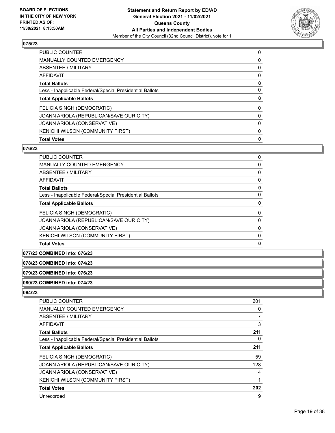![](_page_18_Picture_2.jpeg)

| PUBLIC COUNTER                                           | 0 |
|----------------------------------------------------------|---|
| <b>MANUALLY COUNTED EMERGENCY</b>                        | 0 |
| ABSENTEE / MILITARY                                      | 0 |
| AFFIDAVIT                                                | 0 |
| <b>Total Ballots</b>                                     | 0 |
| Less - Inapplicable Federal/Special Presidential Ballots | 0 |
| <b>Total Applicable Ballots</b>                          | 0 |
| FELICIA SINGH (DEMOCRATIC)                               | 0 |
| JOANN ARIOLA (REPUBLICAN/SAVE OUR CITY)                  | 0 |
| <b>JOANN ARIOLA (CONSERVATIVE)</b>                       | 0 |
| KENICHI WILSON (COMMUNITY FIRST)                         | 0 |
| <b>Total Votes</b>                                       | 0 |

## **076/23**

| PUBLIC COUNTER                                           | 0 |
|----------------------------------------------------------|---|
| <b>MANUALLY COUNTED EMERGENCY</b>                        | 0 |
| ABSENTEE / MILITARY                                      | 0 |
| AFFIDAVIT                                                | 0 |
| <b>Total Ballots</b>                                     | 0 |
| Less - Inapplicable Federal/Special Presidential Ballots | 0 |
| <b>Total Applicable Ballots</b>                          | 0 |
| FELICIA SINGH (DEMOCRATIC)                               | 0 |
| JOANN ARIOLA (REPUBLICAN/SAVE OUR CITY)                  | 0 |
| JOANN ARIOLA (CONSERVATIVE)                              | 0 |
| KENICHI WILSON (COMMUNITY FIRST)                         | 0 |
| <b>Total Votes</b>                                       | 0 |
|                                                          |   |

# **077/23 COMBINED into: 076/23**

#### **078/23 COMBINED into: 074/23**

## **079/23 COMBINED into: 076/23**

#### **080/23 COMBINED into: 074/23**

| PUBLIC COUNTER                                           | 201      |
|----------------------------------------------------------|----------|
| <b>MANUALLY COUNTED EMERGENCY</b>                        | $\Omega$ |
| ABSENTEE / MILITARY                                      |          |
| AFFIDAVIT                                                | 3        |
| <b>Total Ballots</b>                                     | 211      |
| Less - Inapplicable Federal/Special Presidential Ballots | $\Omega$ |
| <b>Total Applicable Ballots</b>                          | 211      |
| FELICIA SINGH (DEMOCRATIC)                               | 59       |
| JOANN ARIOLA (REPUBLICAN/SAVE OUR CITY)                  | 128      |
| JOANN ARIOLA (CONSERVATIVE)                              | 14       |
| KENICHI WILSON (COMMUNITY FIRST)                         |          |
| <b>Total Votes</b>                                       | 202      |
| Unrecorded                                               | 9        |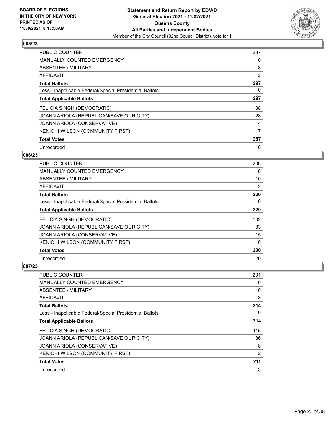![](_page_19_Picture_2.jpeg)

| PUBLIC COUNTER                                           | 287 |
|----------------------------------------------------------|-----|
| <b>MANUALLY COUNTED EMERGENCY</b>                        | 0   |
| ABSENTEE / MILITARY                                      | 8   |
| <b>AFFIDAVIT</b>                                         | 2   |
| <b>Total Ballots</b>                                     | 297 |
| Less - Inapplicable Federal/Special Presidential Ballots | 0   |
| <b>Total Applicable Ballots</b>                          | 297 |
| FELICIA SINGH (DEMOCRATIC)                               | 138 |
| JOANN ARIOLA (REPUBLICAN/SAVE OUR CITY)                  | 128 |
| <b>JOANN ARIOLA (CONSERVATIVE)</b>                       | 14  |
| KENICHI WILSON (COMMUNITY FIRST)                         | 7   |
| <b>Total Votes</b>                                       | 287 |
| Unrecorded                                               | 10  |

## **086/23**

| <b>PUBLIC COUNTER</b>                                    | 208      |
|----------------------------------------------------------|----------|
| MANUALLY COUNTED EMERGENCY                               | 0        |
| ABSENTEE / MILITARY                                      | 10       |
| AFFIDAVIT                                                | 2        |
| <b>Total Ballots</b>                                     | 220      |
| Less - Inapplicable Federal/Special Presidential Ballots | 0        |
| <b>Total Applicable Ballots</b>                          | 220      |
| FELICIA SINGH (DEMOCRATIC)                               | 102      |
| JOANN ARIOLA (REPUBLICAN/SAVE OUR CITY)                  | 83       |
| JOANN ARIOLA (CONSERVATIVE)                              | 15       |
| KENICHI WILSON (COMMUNITY FIRST)                         | $\Omega$ |
| <b>Total Votes</b>                                       | 200      |
| Unrecorded                                               | 20       |

| <b>PUBLIC COUNTER</b>                                    | 201      |
|----------------------------------------------------------|----------|
| <b>MANUALLY COUNTED EMERGENCY</b>                        | 0        |
| ABSENTEE / MILITARY                                      | 10       |
| AFFIDAVIT                                                | 3        |
| <b>Total Ballots</b>                                     | 214      |
| Less - Inapplicable Federal/Special Presidential Ballots | $\Omega$ |
| <b>Total Applicable Ballots</b>                          | 214      |
| FELICIA SINGH (DEMOCRATIC)                               | 115      |
| JOANN ARIOLA (REPUBLICAN/SAVE OUR CITY)                  | 86       |
| JOANN ARIOLA (CONSERVATIVE)                              | 8        |
| KENICHI WILSON (COMMUNITY FIRST)                         | 2        |
| <b>Total Votes</b>                                       | 211      |
| Unrecorded                                               | 3        |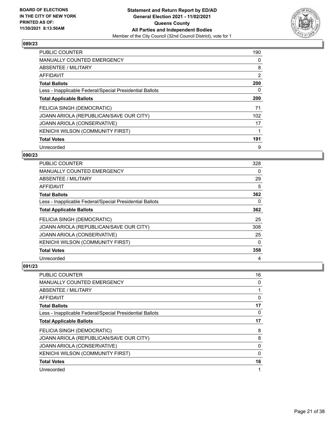![](_page_20_Picture_2.jpeg)

| PUBLIC COUNTER                                           | 190      |
|----------------------------------------------------------|----------|
| <b>MANUALLY COUNTED EMERGENCY</b>                        | 0        |
| ABSENTEE / MILITARY                                      | 8        |
| <b>AFFIDAVIT</b>                                         | 2        |
| <b>Total Ballots</b>                                     | 200      |
| Less - Inapplicable Federal/Special Presidential Ballots | $\Omega$ |
| <b>Total Applicable Ballots</b>                          | 200      |
| FELICIA SINGH (DEMOCRATIC)                               | 71       |
| JOANN ARIOLA (REPUBLICAN/SAVE OUR CITY)                  | 102      |
| <b>JOANN ARIOLA (CONSERVATIVE)</b>                       | 17       |
| KENICHI WILSON (COMMUNITY FIRST)                         | 1        |
| <b>Total Votes</b>                                       | 191      |
| Unrecorded                                               | 9        |

## **090/23**

| <b>PUBLIC COUNTER</b>                                    | 328      |
|----------------------------------------------------------|----------|
| <b>MANUALLY COUNTED EMERGENCY</b>                        | 0        |
| ABSENTEE / MILITARY                                      | 29       |
| AFFIDAVIT                                                | 5        |
| <b>Total Ballots</b>                                     | 362      |
| Less - Inapplicable Federal/Special Presidential Ballots | 0        |
| <b>Total Applicable Ballots</b>                          | 362      |
| FELICIA SINGH (DEMOCRATIC)                               | 25       |
| JOANN ARIOLA (REPUBLICAN/SAVE OUR CITY)                  | 308      |
| JOANN ARIOLA (CONSERVATIVE)                              | 25       |
| KENICHI WILSON (COMMUNITY FIRST)                         | $\Omega$ |
| <b>Total Votes</b>                                       | 358      |
| Unrecorded                                               | 4        |

| PUBLIC COUNTER                                           | 16 |
|----------------------------------------------------------|----|
| MANUALLY COUNTED EMERGENCY                               | 0  |
| ABSENTEE / MILITARY                                      |    |
| AFFIDAVIT                                                | 0  |
| <b>Total Ballots</b>                                     | 17 |
| Less - Inapplicable Federal/Special Presidential Ballots | 0  |
| <b>Total Applicable Ballots</b>                          | 17 |
| FELICIA SINGH (DEMOCRATIC)                               | 8  |
| JOANN ARIOLA (REPUBLICAN/SAVE OUR CITY)                  | 8  |
| JOANN ARIOLA (CONSERVATIVE)                              | 0  |
| KENICHI WILSON (COMMUNITY FIRST)                         | 0  |
| <b>Total Votes</b>                                       | 16 |
| Unrecorded                                               | 1  |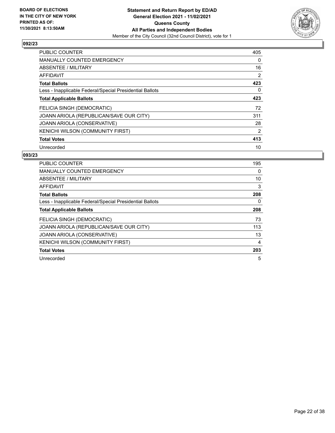![](_page_21_Picture_2.jpeg)

| <b>PUBLIC COUNTER</b>                                    | 405 |
|----------------------------------------------------------|-----|
| <b>MANUALLY COUNTED EMERGENCY</b>                        | 0   |
| ABSENTEE / MILITARY                                      | 16  |
| AFFIDAVIT                                                | 2   |
| <b>Total Ballots</b>                                     | 423 |
| Less - Inapplicable Federal/Special Presidential Ballots | 0   |
| <b>Total Applicable Ballots</b>                          | 423 |
| FELICIA SINGH (DEMOCRATIC)                               | 72  |
| JOANN ARIOLA (REPUBLICAN/SAVE OUR CITY)                  | 311 |
| JOANN ARIOLA (CONSERVATIVE)                              | 28  |
| <b>KENICHI WILSON (COMMUNITY FIRST)</b>                  | 2   |
| <b>Total Votes</b>                                       | 413 |
| Unrecorded                                               | 10  |

| PUBLIC COUNTER                                           | 195 |
|----------------------------------------------------------|-----|
| <b>MANUALLY COUNTED EMERGENCY</b>                        | 0   |
| ABSENTEE / MILITARY                                      | 10  |
| <b>AFFIDAVIT</b>                                         | 3   |
| <b>Total Ballots</b>                                     | 208 |
| Less - Inapplicable Federal/Special Presidential Ballots | 0   |
| <b>Total Applicable Ballots</b>                          | 208 |
| FELICIA SINGH (DEMOCRATIC)                               | 73  |
| JOANN ARIOLA (REPUBLICAN/SAVE OUR CITY)                  | 113 |
| JOANN ARIOLA (CONSERVATIVE)                              | 13  |
| KENICHI WILSON (COMMUNITY FIRST)                         | 4   |
| <b>Total Votes</b>                                       | 203 |
| Unrecorded                                               | 5   |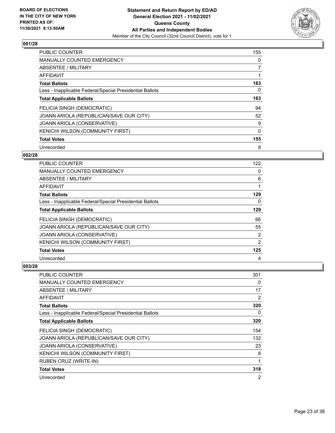![](_page_22_Picture_2.jpeg)

| PUBLIC COUNTER                                           | 155      |
|----------------------------------------------------------|----------|
| <b>MANUALLY COUNTED EMERGENCY</b>                        | 0        |
| ABSENTEE / MILITARY                                      | 7        |
| <b>AFFIDAVIT</b>                                         |          |
| <b>Total Ballots</b>                                     | 163      |
| Less - Inapplicable Federal/Special Presidential Ballots | 0        |
| <b>Total Applicable Ballots</b>                          | 163      |
| FELICIA SINGH (DEMOCRATIC)                               | 94       |
| JOANN ARIOLA (REPUBLICAN/SAVE OUR CITY)                  | 52       |
| JOANN ARIOLA (CONSERVATIVE)                              | 9        |
| KENICHI WILSON (COMMUNITY FIRST)                         | $\Omega$ |
| <b>Total Votes</b>                                       | 155      |
| Unrecorded                                               | 8        |

## **002/28**

| <b>PUBLIC COUNTER</b>                                    | 122            |
|----------------------------------------------------------|----------------|
| <b>MANUALLY COUNTED EMERGENCY</b>                        | 0              |
| ABSENTEE / MILITARY                                      | 6              |
| AFFIDAVIT                                                |                |
| <b>Total Ballots</b>                                     | 129            |
| Less - Inapplicable Federal/Special Presidential Ballots | 0              |
| <b>Total Applicable Ballots</b>                          | 129            |
| FELICIA SINGH (DEMOCRATIC)                               | 66             |
| JOANN ARIOLA (REPUBLICAN/SAVE OUR CITY)                  | 55             |
| JOANN ARIOLA (CONSERVATIVE)                              | $\overline{2}$ |
| KENICHI WILSON (COMMUNITY FIRST)                         | 2              |
| <b>Total Votes</b>                                       | 125            |
| Unrecorded                                               | 4              |

| PUBLIC COUNTER                                           | 301      |
|----------------------------------------------------------|----------|
| MANUALLY COUNTED EMERGENCY                               | 0        |
| ABSENTEE / MILITARY                                      | 17       |
| AFFIDAVIT                                                | 2        |
| <b>Total Ballots</b>                                     | 320      |
| Less - Inapplicable Federal/Special Presidential Ballots | $\Omega$ |
| <b>Total Applicable Ballots</b>                          | 320      |
| FELICIA SINGH (DEMOCRATIC)                               | 154      |
| JOANN ARIOLA (REPUBLICAN/SAVE OUR CITY)                  | 132      |
| <b>JOANN ARIOLA (CONSERVATIVE)</b>                       | 23       |
| <b>KENICHI WILSON (COMMUNITY FIRST)</b>                  | 8        |
| RUBEN CRUZ (WRITE-IN)                                    | 1        |
| <b>Total Votes</b>                                       | 318      |
| Unrecorded                                               | 2        |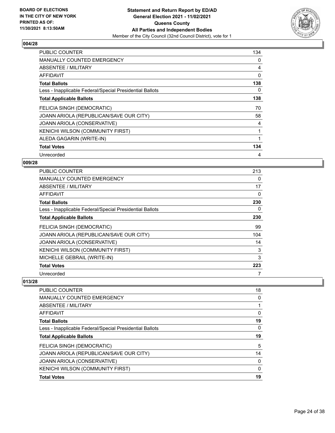![](_page_23_Picture_2.jpeg)

| PUBLIC COUNTER                                           | 134 |
|----------------------------------------------------------|-----|
| <b>MANUALLY COUNTED EMERGENCY</b>                        | 0   |
| <b>ABSENTEE / MILITARY</b>                               | 4   |
| AFFIDAVIT                                                | 0   |
| <b>Total Ballots</b>                                     | 138 |
| Less - Inapplicable Federal/Special Presidential Ballots | 0   |
| <b>Total Applicable Ballots</b>                          | 138 |
| FELICIA SINGH (DEMOCRATIC)                               | 70  |
| JOANN ARIOLA (REPUBLICAN/SAVE OUR CITY)                  | 58  |
| JOANN ARIOLA (CONSERVATIVE)                              | 4   |
| KENICHI WILSON (COMMUNITY FIRST)                         | 1   |
| ALEDA GAGARIN (WRITE-IN)                                 | 1   |
| <b>Total Votes</b>                                       | 134 |
| Unrecorded                                               | 4   |

## **009/28**

| PUBLIC COUNTER                                           | 213 |
|----------------------------------------------------------|-----|
| MANUALLY COUNTED EMERGENCY                               | 0   |
| ABSENTEE / MILITARY                                      | 17  |
| AFFIDAVIT                                                | 0   |
| <b>Total Ballots</b>                                     | 230 |
| Less - Inapplicable Federal/Special Presidential Ballots | 0   |
| <b>Total Applicable Ballots</b>                          | 230 |
| FELICIA SINGH (DEMOCRATIC)                               | 99  |
| JOANN ARIOLA (REPUBLICAN/SAVE OUR CITY)                  | 104 |
| JOANN ARIOLA (CONSERVATIVE)                              | 14  |
| KENICHI WILSON (COMMUNITY FIRST)                         | 3   |
| MICHELLE GEBRAIL (WRITE-IN)                              | 3   |
| <b>Total Votes</b>                                       | 223 |
| Unrecorded                                               | 7   |

| 18 |
|----|
| 0  |
|    |
| 0  |
| 19 |
| 0  |
| 19 |
| 5  |
| 14 |
| 0  |
| 0  |
| 19 |
|    |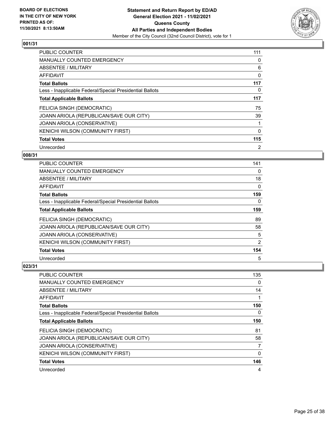![](_page_24_Picture_2.jpeg)

| PUBLIC COUNTER                                           | 111            |
|----------------------------------------------------------|----------------|
| <b>MANUALLY COUNTED EMERGENCY</b>                        | 0              |
| ABSENTEE / MILITARY                                      | 6              |
| <b>AFFIDAVIT</b>                                         | 0              |
| <b>Total Ballots</b>                                     | 117            |
| Less - Inapplicable Federal/Special Presidential Ballots | 0              |
| <b>Total Applicable Ballots</b>                          | 117            |
| FELICIA SINGH (DEMOCRATIC)                               | 75             |
| JOANN ARIOLA (REPUBLICAN/SAVE OUR CITY)                  | 39             |
| <b>JOANN ARIOLA (CONSERVATIVE)</b>                       | 1              |
| KENICHI WILSON (COMMUNITY FIRST)                         | 0              |
| <b>Total Votes</b>                                       | 115            |
| Unrecorded                                               | $\overline{2}$ |

## **008/31**

| <b>PUBLIC COUNTER</b>                                    | 141 |
|----------------------------------------------------------|-----|
| <b>MANUALLY COUNTED EMERGENCY</b>                        | 0   |
| ABSENTEE / MILITARY                                      | 18  |
| AFFIDAVIT                                                | 0   |
| <b>Total Ballots</b>                                     | 159 |
| Less - Inapplicable Federal/Special Presidential Ballots | 0   |
| <b>Total Applicable Ballots</b>                          | 159 |
| FELICIA SINGH (DEMOCRATIC)                               | 89  |
| JOANN ARIOLA (REPUBLICAN/SAVE OUR CITY)                  | 58  |
| JOANN ARIOLA (CONSERVATIVE)                              | 5   |
| KENICHI WILSON (COMMUNITY FIRST)                         | 2   |
| <b>Total Votes</b>                                       | 154 |
| Unrecorded                                               | 5   |

| PUBLIC COUNTER                                           | 135      |
|----------------------------------------------------------|----------|
| <b>MANUALLY COUNTED EMERGENCY</b>                        | $\Omega$ |
| ABSENTEE / MILITARY                                      | 14       |
| AFFIDAVIT                                                |          |
| <b>Total Ballots</b>                                     | 150      |
| Less - Inapplicable Federal/Special Presidential Ballots | 0        |
| <b>Total Applicable Ballots</b>                          | 150      |
| FELICIA SINGH (DEMOCRATIC)                               | 81       |
| JOANN ARIOLA (REPUBLICAN/SAVE OUR CITY)                  | 58       |
| JOANN ARIOLA (CONSERVATIVE)                              | 7        |
| KENICHI WILSON (COMMUNITY FIRST)                         | $\Omega$ |
| <b>Total Votes</b>                                       | 146      |
| Unrecorded                                               | 4        |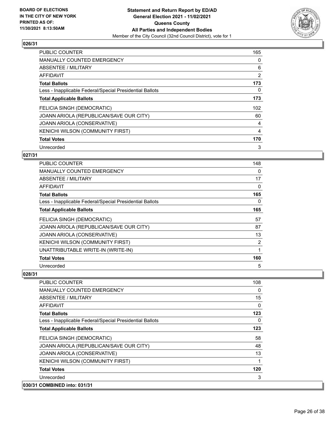![](_page_25_Picture_2.jpeg)

| <b>PUBLIC COUNTER</b>                                    | 165      |
|----------------------------------------------------------|----------|
| <b>MANUALLY COUNTED EMERGENCY</b>                        | 0        |
| ABSENTEE / MILITARY                                      | 6        |
| <b>AFFIDAVIT</b>                                         | 2        |
| <b>Total Ballots</b>                                     | 173      |
| Less - Inapplicable Federal/Special Presidential Ballots | $\Omega$ |
| <b>Total Applicable Ballots</b>                          | 173      |
| FELICIA SINGH (DEMOCRATIC)                               | 102      |
| JOANN ARIOLA (REPUBLICAN/SAVE OUR CITY)                  | 60       |
| JOANN ARIOLA (CONSERVATIVE)                              | 4        |
| KENICHI WILSON (COMMUNITY FIRST)                         | 4        |
| <b>Total Votes</b>                                       | 170      |
| Unrecorded                                               | 3        |

## **027/31**

| <b>PUBLIC COUNTER</b>                                    | 148 |
|----------------------------------------------------------|-----|
| <b>MANUALLY COUNTED EMERGENCY</b>                        | 0   |
| ABSENTEE / MILITARY                                      | 17  |
| AFFIDAVIT                                                | 0   |
| <b>Total Ballots</b>                                     | 165 |
| Less - Inapplicable Federal/Special Presidential Ballots | 0   |
| <b>Total Applicable Ballots</b>                          | 165 |
| FELICIA SINGH (DEMOCRATIC)                               | 57  |
| JOANN ARIOLA (REPUBLICAN/SAVE OUR CITY)                  | 87  |
| JOANN ARIOLA (CONSERVATIVE)                              | 13  |
| KENICHI WILSON (COMMUNITY FIRST)                         | 2   |
| UNATTRIBUTABLE WRITE-IN (WRITE-IN)                       | 1   |
| <b>Total Votes</b>                                       | 160 |
| Unrecorded                                               | 5   |

| <b>PUBLIC COUNTER</b>                                    | 108 |
|----------------------------------------------------------|-----|
| <b>MANUALLY COUNTED EMERGENCY</b>                        | 0   |
| <b>ABSENTEE / MILITARY</b>                               | 15  |
| AFFIDAVIT                                                | 0   |
| <b>Total Ballots</b>                                     | 123 |
| Less - Inapplicable Federal/Special Presidential Ballots | 0   |
| <b>Total Applicable Ballots</b>                          | 123 |
| FELICIA SINGH (DEMOCRATIC)                               | 58  |
| JOANN ARIOLA (REPUBLICAN/SAVE OUR CITY)                  | 48  |
| JOANN ARIOLA (CONSERVATIVE)                              | 13  |
| KENICHI WILSON (COMMUNITY FIRST)                         | 1   |
| <b>Total Votes</b>                                       | 120 |
| Unrecorded                                               | 3   |
| 030/31 COMBINED into: 031/31                             |     |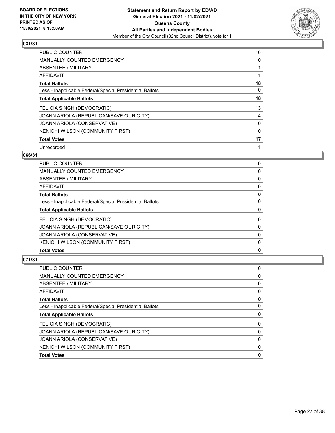![](_page_26_Picture_2.jpeg)

| <b>PUBLIC COUNTER</b>                                    | 16       |
|----------------------------------------------------------|----------|
| <b>MANUALLY COUNTED EMERGENCY</b>                        | 0        |
| ABSENTEE / MILITARY                                      |          |
| AFFIDAVIT                                                |          |
| <b>Total Ballots</b>                                     | 18       |
| Less - Inapplicable Federal/Special Presidential Ballots | 0        |
| <b>Total Applicable Ballots</b>                          | 18       |
| FELICIA SINGH (DEMOCRATIC)                               | 13       |
| JOANN ARIOLA (REPUBLICAN/SAVE OUR CITY)                  | 4        |
| JOANN ARIOLA (CONSERVATIVE)                              | 0        |
| KENICHI WILSON (COMMUNITY FIRST)                         | $\Omega$ |
| <b>Total Votes</b>                                       | 17       |
| Unrecorded                                               |          |

## **066/31**

| <b>PUBLIC COUNTER</b>                                    | 0        |
|----------------------------------------------------------|----------|
| <b>MANUALLY COUNTED EMERGENCY</b>                        | 0        |
| ABSENTEE / MILITARY                                      | $\Omega$ |
| AFFIDAVIT                                                | 0        |
| <b>Total Ballots</b>                                     | 0        |
| Less - Inapplicable Federal/Special Presidential Ballots | 0        |
| <b>Total Applicable Ballots</b>                          | 0        |
| FELICIA SINGH (DEMOCRATIC)                               | 0        |
| JOANN ARIOLA (REPUBLICAN/SAVE OUR CITY)                  | 0        |
| JOANN ARIOLA (CONSERVATIVE)                              | 0        |
| KENICHI WILSON (COMMUNITY FIRST)                         | $\Omega$ |
| <b>Total Votes</b>                                       | 0        |

| PUBLIC COUNTER                                           | 0 |
|----------------------------------------------------------|---|
| <b>MANUALLY COUNTED EMERGENCY</b>                        | 0 |
| ABSENTEE / MILITARY                                      | 0 |
| AFFIDAVIT                                                | 0 |
| <b>Total Ballots</b>                                     | 0 |
| Less - Inapplicable Federal/Special Presidential Ballots | 0 |
| <b>Total Applicable Ballots</b>                          | 0 |
| FELICIA SINGH (DEMOCRATIC)                               | 0 |
| JOANN ARIOLA (REPUBLICAN/SAVE OUR CITY)                  | 0 |
| JOANN ARIOLA (CONSERVATIVE)                              | 0 |
| KENICHI WILSON (COMMUNITY FIRST)                         | 0 |
| <b>Total Votes</b>                                       | 0 |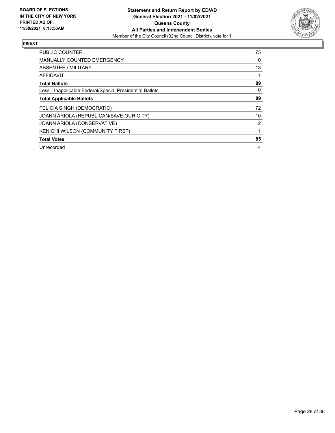![](_page_27_Picture_2.jpeg)

| PUBLIC COUNTER                                           | 75       |
|----------------------------------------------------------|----------|
| <b>MANUALLY COUNTED EMERGENCY</b>                        | 0        |
| ABSENTEE / MILITARY                                      | 13       |
| <b>AFFIDAVIT</b>                                         |          |
| <b>Total Ballots</b>                                     | 89       |
| Less - Inapplicable Federal/Special Presidential Ballots | $\Omega$ |
| <b>Total Applicable Ballots</b>                          | 89       |
| <b>FELICIA SINGH (DEMOCRATIC)</b>                        | 72       |
| JOANN ARIOLA (REPUBLICAN/SAVE OUR CITY)                  | 10       |
| JOANN ARIOLA (CONSERVATIVE)                              | 2        |
| <b>KENICHI WILSON (COMMUNITY FIRST)</b>                  |          |
| <b>Total Votes</b>                                       | 85       |
| Unrecorded                                               | 4        |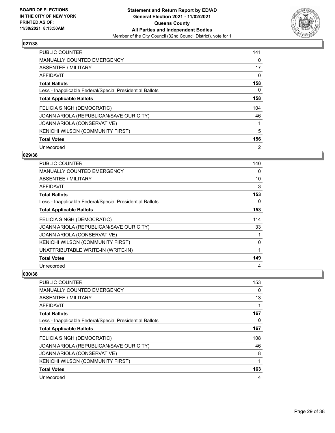![](_page_28_Picture_2.jpeg)

| PUBLIC COUNTER                                           | 141 |
|----------------------------------------------------------|-----|
| <b>MANUALLY COUNTED EMERGENCY</b>                        | 0   |
| ABSENTEE / MILITARY                                      | 17  |
| <b>AFFIDAVIT</b>                                         | 0   |
| <b>Total Ballots</b>                                     | 158 |
| Less - Inapplicable Federal/Special Presidential Ballots | 0   |
| <b>Total Applicable Ballots</b>                          | 158 |
| FELICIA SINGH (DEMOCRATIC)                               | 104 |
| JOANN ARIOLA (REPUBLICAN/SAVE OUR CITY)                  | 46  |
| JOANN ARIOLA (CONSERVATIVE)                              | 1   |
| KENICHI WILSON (COMMUNITY FIRST)                         | 5   |
| <b>Total Votes</b>                                       | 156 |
| Unrecorded                                               | 2   |

## **029/38**

| PUBLIC COUNTER                                           | 140 |
|----------------------------------------------------------|-----|
| <b>MANUALLY COUNTED EMERGENCY</b>                        | 0   |
| ABSENTEE / MILITARY                                      | 10  |
| AFFIDAVIT                                                | 3   |
| <b>Total Ballots</b>                                     | 153 |
| Less - Inapplicable Federal/Special Presidential Ballots | 0   |
| <b>Total Applicable Ballots</b>                          | 153 |
| FELICIA SINGH (DEMOCRATIC)                               | 114 |
| JOANN ARIOLA (REPUBLICAN/SAVE OUR CITY)                  | 33  |
| JOANN ARIOLA (CONSERVATIVE)                              | 1   |
| KENICHI WILSON (COMMUNITY FIRST)                         | 0   |
| UNATTRIBUTABLE WRITE-IN (WRITE-IN)                       | 1   |
| <b>Total Votes</b>                                       | 149 |
| Unrecorded                                               | 4   |

| <b>PUBLIC COUNTER</b>                                    | 153 |
|----------------------------------------------------------|-----|
| <b>MANUALLY COUNTED EMERGENCY</b>                        | 0   |
| ABSENTEE / MILITARY                                      | 13  |
| AFFIDAVIT                                                |     |
| <b>Total Ballots</b>                                     | 167 |
| Less - Inapplicable Federal/Special Presidential Ballots | 0   |
| <b>Total Applicable Ballots</b>                          | 167 |
| FELICIA SINGH (DEMOCRATIC)                               | 108 |
| JOANN ARIOLA (REPUBLICAN/SAVE OUR CITY)                  | 46  |
| JOANN ARIOLA (CONSERVATIVE)                              | 8   |
| KENICHI WILSON (COMMUNITY FIRST)                         | 1   |
| <b>Total Votes</b>                                       | 163 |
| Unrecorded                                               | 4   |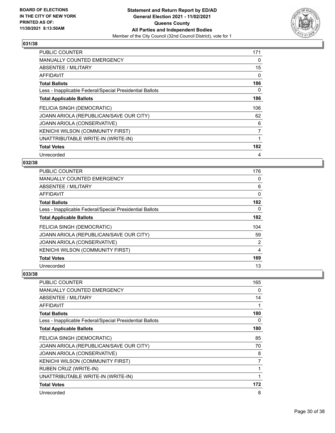![](_page_29_Picture_2.jpeg)

| <b>PUBLIC COUNTER</b>                                    | 171 |
|----------------------------------------------------------|-----|
| <b>MANUALLY COUNTED EMERGENCY</b>                        | 0   |
| <b>ABSENTEE / MILITARY</b>                               | 15  |
| <b>AFFIDAVIT</b>                                         | 0   |
| <b>Total Ballots</b>                                     | 186 |
| Less - Inapplicable Federal/Special Presidential Ballots | 0   |
| <b>Total Applicable Ballots</b>                          | 186 |
| FELICIA SINGH (DEMOCRATIC)                               | 106 |
| JOANN ARIOLA (REPUBLICAN/SAVE OUR CITY)                  | 62  |
| JOANN ARIOLA (CONSERVATIVE)                              | 6   |
| <b>KENICHI WILSON (COMMUNITY FIRST)</b>                  | 7   |
| UNATTRIBUTABLE WRITE-IN (WRITE-IN)                       | 1   |
| <b>Total Votes</b>                                       | 182 |
| Unrecorded                                               | 4   |

## **032/38**

| <b>PUBLIC COUNTER</b>                                    | 176 |
|----------------------------------------------------------|-----|
| <b>MANUALLY COUNTED EMERGENCY</b>                        | 0   |
| ABSENTEE / MILITARY                                      | 6   |
| AFFIDAVIT                                                | 0   |
| <b>Total Ballots</b>                                     | 182 |
| Less - Inapplicable Federal/Special Presidential Ballots | 0   |
| <b>Total Applicable Ballots</b>                          | 182 |
| FELICIA SINGH (DEMOCRATIC)                               | 104 |
| JOANN ARIOLA (REPUBLICAN/SAVE OUR CITY)                  | 59  |
| JOANN ARIOLA (CONSERVATIVE)                              | 2   |
| KENICHI WILSON (COMMUNITY FIRST)                         | 4   |
| <b>Total Votes</b>                                       | 169 |
| Unrecorded                                               | 13  |

| <b>PUBLIC COUNTER</b>                                    | 165 |
|----------------------------------------------------------|-----|
| <b>MANUALLY COUNTED EMERGENCY</b>                        | 0   |
| ABSENTEE / MILITARY                                      | 14  |
| AFFIDAVIT                                                |     |
| <b>Total Ballots</b>                                     | 180 |
| Less - Inapplicable Federal/Special Presidential Ballots | 0   |
| <b>Total Applicable Ballots</b>                          | 180 |
| FELICIA SINGH (DEMOCRATIC)                               | 85  |
| JOANN ARIOLA (REPUBLICAN/SAVE OUR CITY)                  | 70  |
| JOANN ARIOLA (CONSERVATIVE)                              | 8   |
| KENICHI WILSON (COMMUNITY FIRST)                         | 7   |
| RUBEN CRUZ (WRITE-IN)                                    |     |
| UNATTRIBUTABLE WRITE-IN (WRITE-IN)                       | 1   |
| <b>Total Votes</b>                                       | 172 |
| Unrecorded                                               | 8   |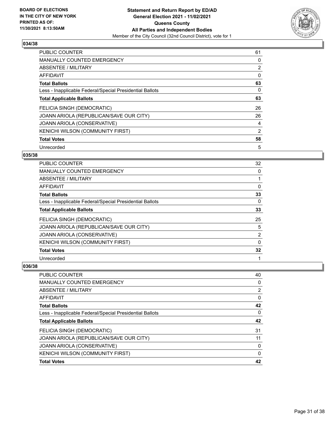![](_page_30_Picture_2.jpeg)

| PUBLIC COUNTER                                           | 61 |
|----------------------------------------------------------|----|
| <b>MANUALLY COUNTED EMERGENCY</b>                        | 0  |
| ABSENTEE / MILITARY                                      | 2  |
| <b>AFFIDAVIT</b>                                         | 0  |
| <b>Total Ballots</b>                                     | 63 |
| Less - Inapplicable Federal/Special Presidential Ballots | 0  |
| <b>Total Applicable Ballots</b>                          | 63 |
| FELICIA SINGH (DEMOCRATIC)                               | 26 |
| JOANN ARIOLA (REPUBLICAN/SAVE OUR CITY)                  | 26 |
| JOANN ARIOLA (CONSERVATIVE)                              | 4  |
| KENICHI WILSON (COMMUNITY FIRST)                         | 2  |
| <b>Total Votes</b>                                       | 58 |
| Unrecorded                                               | 5  |

## **035/38**

| PUBLIC COUNTER                                           | 32       |
|----------------------------------------------------------|----------|
| <b>MANUALLY COUNTED EMERGENCY</b>                        | $\Omega$ |
| ABSENTEE / MILITARY                                      |          |
| AFFIDAVIT                                                | 0        |
| <b>Total Ballots</b>                                     | 33       |
| Less - Inapplicable Federal/Special Presidential Ballots | 0        |
| <b>Total Applicable Ballots</b>                          | 33       |
| FELICIA SINGH (DEMOCRATIC)                               | 25       |
| JOANN ARIOLA (REPUBLICAN/SAVE OUR CITY)                  | 5        |
| JOANN ARIOLA (CONSERVATIVE)                              | 2        |
| KENICHI WILSON (COMMUNITY FIRST)                         | $\Omega$ |
| <b>Total Votes</b>                                       | 32       |
| Unrecorded                                               |          |

| <b>PUBLIC COUNTER</b>                                    | 40       |
|----------------------------------------------------------|----------|
| MANUALLY COUNTED EMERGENCY                               | 0        |
| ABSENTEE / MILITARY                                      | 2        |
| AFFIDAVIT                                                | 0        |
| <b>Total Ballots</b>                                     | 42       |
| Less - Inapplicable Federal/Special Presidential Ballots | 0        |
| <b>Total Applicable Ballots</b>                          | 42       |
| FELICIA SINGH (DEMOCRATIC)                               | 31       |
| JOANN ARIOLA (REPUBLICAN/SAVE OUR CITY)                  | 11       |
| JOANN ARIOLA (CONSERVATIVE)                              | 0        |
| KENICHI WILSON (COMMUNITY FIRST)                         | $\Omega$ |
| <b>Total Votes</b>                                       | 42       |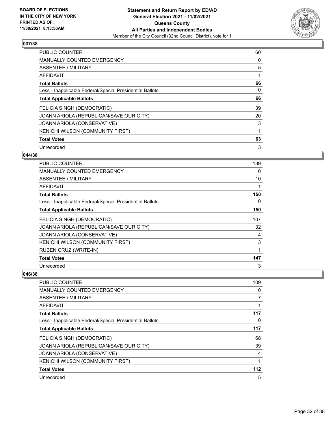![](_page_31_Picture_2.jpeg)

| PUBLIC COUNTER                                           | 60 |
|----------------------------------------------------------|----|
| <b>MANUALLY COUNTED EMERGENCY</b>                        | 0  |
| ABSENTEE / MILITARY                                      | 5  |
| <b>AFFIDAVIT</b>                                         |    |
| <b>Total Ballots</b>                                     | 66 |
| Less - Inapplicable Federal/Special Presidential Ballots | 0  |
| <b>Total Applicable Ballots</b>                          | 66 |
| FELICIA SINGH (DEMOCRATIC)                               | 39 |
| JOANN ARIOLA (REPUBLICAN/SAVE OUR CITY)                  | 20 |
| JOANN ARIOLA (CONSERVATIVE)                              | 3  |
| <b>KENICHI WILSON (COMMUNITY FIRST)</b>                  | 1  |
| <b>Total Votes</b>                                       | 63 |
| Unrecorded                                               | 3  |

## **044/38**

| <b>PUBLIC COUNTER</b>                                    | 139 |
|----------------------------------------------------------|-----|
| MANUALLY COUNTED EMERGENCY                               | 0   |
| ABSENTEE / MILITARY                                      | 10  |
| <b>AFFIDAVIT</b>                                         |     |
| <b>Total Ballots</b>                                     | 150 |
| Less - Inapplicable Federal/Special Presidential Ballots | 0   |
| <b>Total Applicable Ballots</b>                          | 150 |
| FELICIA SINGH (DEMOCRATIC)                               | 107 |
| JOANN ARIOLA (REPUBLICAN/SAVE OUR CITY)                  | 32  |
| JOANN ARIOLA (CONSERVATIVE)                              | 4   |
| KENICHI WILSON (COMMUNITY FIRST)                         | 3   |
| <b>RUBEN CRUZ (WRITE-IN)</b>                             |     |
| <b>Total Votes</b>                                       | 147 |
| Unrecorded                                               | 3   |

| <b>PUBLIC COUNTER</b>                                    | 109      |
|----------------------------------------------------------|----------|
| <b>MANUALLY COUNTED EMERGENCY</b>                        | $\Omega$ |
| ABSENTEE / MILITARY                                      | 7        |
| AFFIDAVIT                                                |          |
| <b>Total Ballots</b>                                     | 117      |
| Less - Inapplicable Federal/Special Presidential Ballots | $\Omega$ |
| <b>Total Applicable Ballots</b>                          | 117      |
| FELICIA SINGH (DEMOCRATIC)                               | 68       |
| JOANN ARIOLA (REPUBLICAN/SAVE OUR CITY)                  | 39       |
| <b>JOANN ARIOLA (CONSERVATIVE)</b>                       | 4        |
| KENICHI WILSON (COMMUNITY FIRST)                         | 1        |
| <b>Total Votes</b>                                       | 112      |
| Unrecorded                                               | 5        |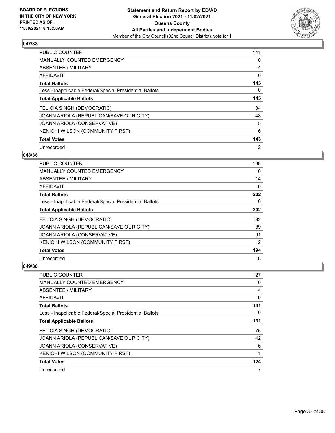![](_page_32_Picture_2.jpeg)

| <b>PUBLIC COUNTER</b>                                    | 141            |
|----------------------------------------------------------|----------------|
| <b>MANUALLY COUNTED EMERGENCY</b>                        | 0              |
| ABSENTEE / MILITARY                                      | 4              |
| <b>AFFIDAVIT</b>                                         | 0              |
| <b>Total Ballots</b>                                     | 145            |
| Less - Inapplicable Federal/Special Presidential Ballots | 0              |
| <b>Total Applicable Ballots</b>                          | 145            |
| FELICIA SINGH (DEMOCRATIC)                               | 84             |
| JOANN ARIOLA (REPUBLICAN/SAVE OUR CITY)                  | 48             |
| JOANN ARIOLA (CONSERVATIVE)                              | 5              |
| KENICHI WILSON (COMMUNITY FIRST)                         | 6              |
| <b>Total Votes</b>                                       | 143            |
| Unrecorded                                               | $\overline{2}$ |

## **048/38**

| <b>PUBLIC COUNTER</b>                                    | 188 |
|----------------------------------------------------------|-----|
| <b>MANUALLY COUNTED EMERGENCY</b>                        | 0   |
| ABSENTEE / MILITARY                                      | 14  |
| AFFIDAVIT                                                | 0   |
| <b>Total Ballots</b>                                     | 202 |
| Less - Inapplicable Federal/Special Presidential Ballots | 0   |
| <b>Total Applicable Ballots</b>                          | 202 |
| FELICIA SINGH (DEMOCRATIC)                               | 92  |
| JOANN ARIOLA (REPUBLICAN/SAVE OUR CITY)                  | 89  |
| JOANN ARIOLA (CONSERVATIVE)                              | 11  |
| KENICHI WILSON (COMMUNITY FIRST)                         | 2   |
| <b>Total Votes</b>                                       | 194 |
| Unrecorded                                               | 8   |

| PUBLIC COUNTER                                           | 127 |
|----------------------------------------------------------|-----|
| <b>MANUALLY COUNTED EMERGENCY</b>                        | 0   |
| ABSENTEE / MILITARY                                      | 4   |
| AFFIDAVIT                                                | 0   |
| <b>Total Ballots</b>                                     | 131 |
| Less - Inapplicable Federal/Special Presidential Ballots | 0   |
| <b>Total Applicable Ballots</b>                          | 131 |
| FELICIA SINGH (DEMOCRATIC)                               | 75  |
| JOANN ARIOLA (REPUBLICAN/SAVE OUR CITY)                  | 42  |
| JOANN ARIOLA (CONSERVATIVE)                              | 6   |
| KENICHI WILSON (COMMUNITY FIRST)                         | 1   |
| <b>Total Votes</b>                                       | 124 |
| Unrecorded                                               | 7   |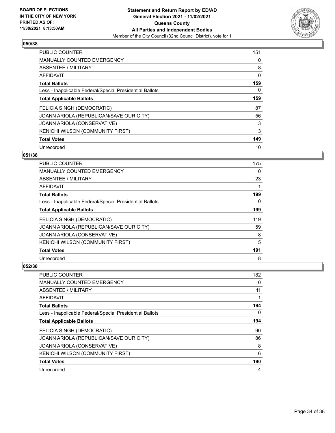![](_page_33_Picture_2.jpeg)

| PUBLIC COUNTER                                           | 151 |
|----------------------------------------------------------|-----|
| <b>MANUALLY COUNTED EMERGENCY</b>                        | 0   |
| ABSENTEE / MILITARY                                      | 8   |
| <b>AFFIDAVIT</b>                                         | 0   |
| <b>Total Ballots</b>                                     | 159 |
| Less - Inapplicable Federal/Special Presidential Ballots | 0   |
| <b>Total Applicable Ballots</b>                          | 159 |
| FELICIA SINGH (DEMOCRATIC)                               | 87  |
| JOANN ARIOLA (REPUBLICAN/SAVE OUR CITY)                  | 56  |
| JOANN ARIOLA (CONSERVATIVE)                              | 3   |
| <b>KENICHI WILSON (COMMUNITY FIRST)</b>                  | 3   |
| <b>Total Votes</b>                                       | 149 |
| Unrecorded                                               | 10  |

## **051/38**

| <b>PUBLIC COUNTER</b>                                    | 175 |
|----------------------------------------------------------|-----|
| <b>MANUALLY COUNTED EMERGENCY</b>                        | 0   |
| ABSENTEE / MILITARY                                      | 23  |
| AFFIDAVIT                                                |     |
| <b>Total Ballots</b>                                     | 199 |
| Less - Inapplicable Federal/Special Presidential Ballots | 0   |
| <b>Total Applicable Ballots</b>                          | 199 |
| FELICIA SINGH (DEMOCRATIC)                               | 119 |
| JOANN ARIOLA (REPUBLICAN/SAVE OUR CITY)                  | 59  |
| JOANN ARIOLA (CONSERVATIVE)                              | 8   |
| KENICHI WILSON (COMMUNITY FIRST)                         | 5   |
| <b>Total Votes</b>                                       | 191 |
| Unrecorded                                               | 8   |

| PUBLIC COUNTER                                           | 182      |
|----------------------------------------------------------|----------|
| <b>MANUALLY COUNTED EMERGENCY</b>                        | 0        |
| ABSENTEE / MILITARY                                      | 11       |
| AFFIDAVIT                                                |          |
| <b>Total Ballots</b>                                     | 194      |
| Less - Inapplicable Federal/Special Presidential Ballots | $\Omega$ |
| <b>Total Applicable Ballots</b>                          | 194      |
| FELICIA SINGH (DEMOCRATIC)                               | 90       |
| JOANN ARIOLA (REPUBLICAN/SAVE OUR CITY)                  | 86       |
| JOANN ARIOLA (CONSERVATIVE)                              | 8        |
| KENICHI WILSON (COMMUNITY FIRST)                         | 6        |
| <b>Total Votes</b>                                       | 190      |
| Unrecorded                                               | 4        |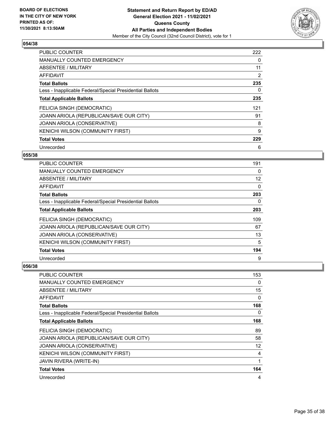![](_page_34_Picture_2.jpeg)

| PUBLIC COUNTER                                           | 222 |
|----------------------------------------------------------|-----|
| <b>MANUALLY COUNTED EMERGENCY</b>                        | 0   |
| ABSENTEE / MILITARY                                      | 11  |
| <b>AFFIDAVIT</b>                                         | 2   |
| <b>Total Ballots</b>                                     | 235 |
| Less - Inapplicable Federal/Special Presidential Ballots | 0   |
| <b>Total Applicable Ballots</b>                          | 235 |
| FELICIA SINGH (DEMOCRATIC)                               | 121 |
| JOANN ARIOLA (REPUBLICAN/SAVE OUR CITY)                  | 91  |
| JOANN ARIOLA (CONSERVATIVE)                              | 8   |
| KENICHI WILSON (COMMUNITY FIRST)                         | 9   |
| <b>Total Votes</b>                                       | 229 |
| Unrecorded                                               | 6   |

# **055/38**

| <b>PUBLIC COUNTER</b>                                    | 191 |
|----------------------------------------------------------|-----|
| <b>MANUALLY COUNTED EMERGENCY</b>                        | 0   |
| ABSENTEE / MILITARY                                      | 12  |
| AFFIDAVIT                                                | 0   |
| <b>Total Ballots</b>                                     | 203 |
| Less - Inapplicable Federal/Special Presidential Ballots | 0   |
| <b>Total Applicable Ballots</b>                          | 203 |
| FELICIA SINGH (DEMOCRATIC)                               | 109 |
| JOANN ARIOLA (REPUBLICAN/SAVE OUR CITY)                  | 67  |
| JOANN ARIOLA (CONSERVATIVE)                              | 13  |
| KENICHI WILSON (COMMUNITY FIRST)                         | 5   |
| <b>Total Votes</b>                                       | 194 |
| Unrecorded                                               | 9   |

| <b>PUBLIC COUNTER</b>                                    | 153      |
|----------------------------------------------------------|----------|
| <b>MANUALLY COUNTED EMERGENCY</b>                        | 0        |
| ABSENTEE / MILITARY                                      | 15       |
| AFFIDAVIT                                                | $\Omega$ |
| <b>Total Ballots</b>                                     | 168      |
| Less - Inapplicable Federal/Special Presidential Ballots | 0        |
| <b>Total Applicable Ballots</b>                          | 168      |
| FELICIA SINGH (DEMOCRATIC)                               | 89       |
| JOANN ARIOLA (REPUBLICAN/SAVE OUR CITY)                  | 58       |
| JOANN ARIOLA (CONSERVATIVE)                              | 12       |
| <b>KENICHI WILSON (COMMUNITY FIRST)</b>                  | 4        |
| <b>JAVIN RIVERA (WRITE-IN)</b>                           |          |
| <b>Total Votes</b>                                       | 164      |
| Unrecorded                                               | 4        |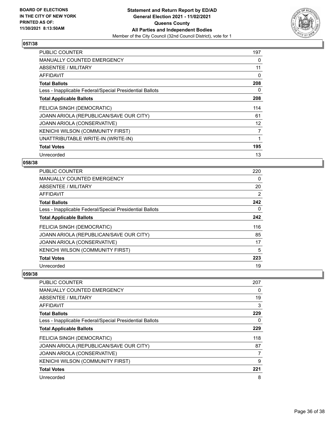![](_page_35_Picture_2.jpeg)

| <b>PUBLIC COUNTER</b>                                    | 197 |
|----------------------------------------------------------|-----|
| <b>MANUALLY COUNTED EMERGENCY</b>                        | 0   |
| <b>ABSENTEE / MILITARY</b>                               | 11  |
| <b>AFFIDAVIT</b>                                         | 0   |
| <b>Total Ballots</b>                                     | 208 |
| Less - Inapplicable Federal/Special Presidential Ballots | 0   |
| <b>Total Applicable Ballots</b>                          | 208 |
|                                                          |     |
| FELICIA SINGH (DEMOCRATIC)                               | 114 |
| JOANN ARIOLA (REPUBLICAN/SAVE OUR CITY)                  | 61  |
| JOANN ARIOLA (CONSERVATIVE)                              | 12  |
| KENICHI WILSON (COMMUNITY FIRST)                         | 7   |
| UNATTRIBUTABLE WRITE-IN (WRITE-IN)                       |     |
| <b>Total Votes</b>                                       | 195 |

## **058/38**

| <b>PUBLIC COUNTER</b>                                    | 220 |
|----------------------------------------------------------|-----|
| <b>MANUALLY COUNTED EMERGENCY</b>                        | 0   |
| ABSENTEE / MILITARY                                      | 20  |
| AFFIDAVIT                                                | 2   |
| <b>Total Ballots</b>                                     | 242 |
| Less - Inapplicable Federal/Special Presidential Ballots | 0   |
| <b>Total Applicable Ballots</b>                          | 242 |
| FELICIA SINGH (DEMOCRATIC)                               | 116 |
| JOANN ARIOLA (REPUBLICAN/SAVE OUR CITY)                  | 85  |
| JOANN ARIOLA (CONSERVATIVE)                              | 17  |
| KENICHI WILSON (COMMUNITY FIRST)                         | 5   |
| <b>Total Votes</b>                                       | 223 |
| Unrecorded                                               | 19  |

| PUBLIC COUNTER                                           | 207 |
|----------------------------------------------------------|-----|
| <b>MANUALLY COUNTED EMERGENCY</b>                        | 0   |
| ABSENTEE / MILITARY                                      | 19  |
| AFFIDAVIT                                                | 3   |
| <b>Total Ballots</b>                                     | 229 |
| Less - Inapplicable Federal/Special Presidential Ballots | 0   |
| <b>Total Applicable Ballots</b>                          | 229 |
| FELICIA SINGH (DEMOCRATIC)                               | 118 |
| JOANN ARIOLA (REPUBLICAN/SAVE OUR CITY)                  | 87  |
| <b>JOANN ARIOLA (CONSERVATIVE)</b>                       | 7   |
| KENICHI WILSON (COMMUNITY FIRST)                         | 9   |
| <b>Total Votes</b>                                       | 221 |
| Unrecorded                                               | 8   |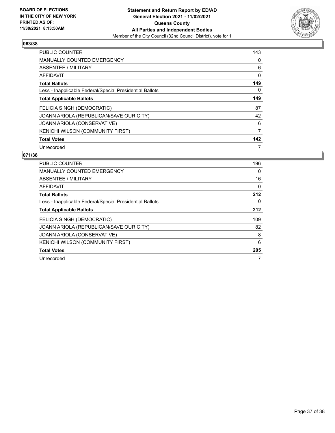![](_page_36_Picture_2.jpeg)

| <b>PUBLIC COUNTER</b>                                    | 143 |
|----------------------------------------------------------|-----|
| <b>MANUALLY COUNTED EMERGENCY</b>                        | 0   |
| ABSENTEE / MILITARY                                      | 6   |
| <b>AFFIDAVIT</b>                                         | 0   |
| <b>Total Ballots</b>                                     | 149 |
| Less - Inapplicable Federal/Special Presidential Ballots | 0   |
| <b>Total Applicable Ballots</b>                          | 149 |
| FELICIA SINGH (DEMOCRATIC)                               | 87  |
| JOANN ARIOLA (REPUBLICAN/SAVE OUR CITY)                  | 42  |
| JOANN ARIOLA (CONSERVATIVE)                              | 6   |
| KENICHI WILSON (COMMUNITY FIRST)                         | 7   |
| <b>Total Votes</b>                                       | 142 |
| Unrecorded                                               | 7   |

| PUBLIC COUNTER                                           | 196 |
|----------------------------------------------------------|-----|
| <b>MANUALLY COUNTED EMERGENCY</b>                        | 0   |
| ABSENTEE / MILITARY                                      | 16  |
| AFFIDAVIT                                                | 0   |
| <b>Total Ballots</b>                                     | 212 |
| Less - Inapplicable Federal/Special Presidential Ballots | 0   |
| <b>Total Applicable Ballots</b>                          | 212 |
| <b>FELICIA SINGH (DEMOCRATIC)</b>                        | 109 |
| JOANN ARIOLA (REPUBLICAN/SAVE OUR CITY)                  | 82  |
| JOANN ARIOLA (CONSERVATIVE)                              | 8   |
| <b>KENICHI WILSON (COMMUNITY FIRST)</b>                  | 6   |
| <b>Total Votes</b>                                       | 205 |
| Unrecorded                                               | 7   |